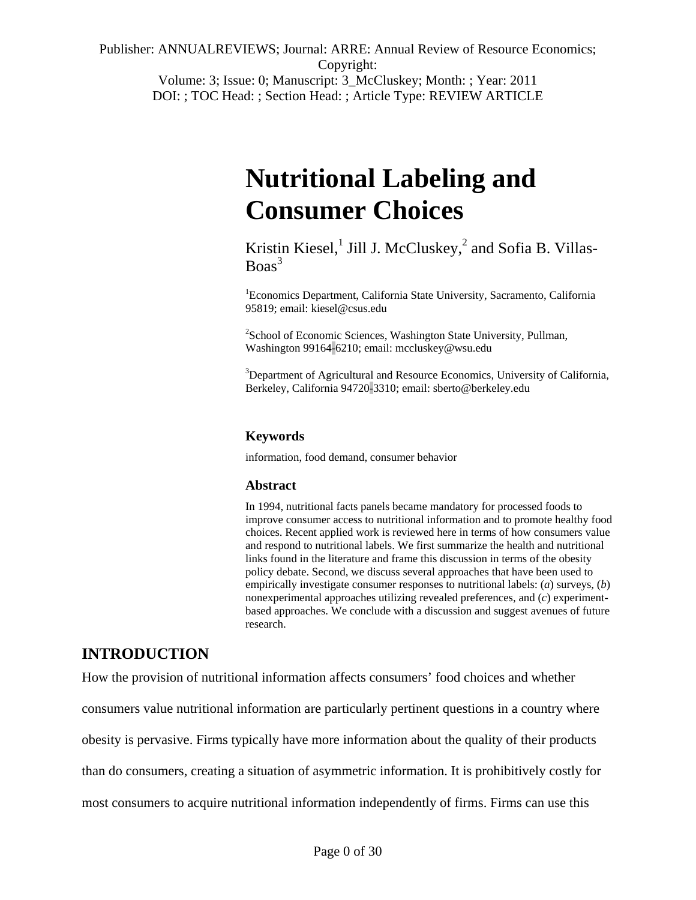Publisher: ANNUALREVIEWS; Journal: ARRE: Annual Review of Resource Economics; Copyright: Volume: 3; Issue: 0; Manuscript: 3\_McCluskey; Month: ; Year: 2011

DOI: ; TOC Head: ; Section Head: ; Article Type: REVIEW ARTICLE

# **Nutritional Labeling and Consumer Choices**

Kristin Kiesel,<sup>1</sup> Jill J. McCluskey,<sup>2</sup> and Sofia B. Villas- $Boas<sup>3</sup>$ 

1 Economics Department, California State University, Sacramento, California 95819; email: kiesel@csus.edu

<sup>2</sup> School of Economic Sciences, Washington State University, Pullman, Washington 99164-6210; email: mccluskey@wsu.edu

<sup>3</sup>Department of Agricultural and Resource Economics, University of California, Berkeley, California 94720-3310; email: sberto@berkeley.edu

## **Keywords**

information, food demand, consumer behavior

#### **Abstract**

In 1994, nutritional facts panels became mandatory for processed foods to improve consumer access to nutritional information and to promote healthy food choices. Recent applied work is reviewed here in terms of how consumers value and respond to nutritional labels. We first summarize the health and nutritional links found in the literature and frame this discussion in terms of the obesity policy debate. Second, we discuss several approaches that have been used to empirically investigate consumer responses to nutritional labels: (*a*) surveys, (*b*) nonexperimental approaches utilizing revealed preferences, and (*c*) experimentbased approaches. We conclude with a discussion and suggest avenues of future research.

# **INTRODUCTION**

How the provision of nutritional information affects consumers' food choices and whether consumers value nutritional information are particularly pertinent questions in a country where obesity is pervasive. Firms typically have more information about the quality of their products than do consumers, creating a situation of asymmetric information. It is prohibitively costly for most consumers to acquire nutritional information independently of firms. Firms can use this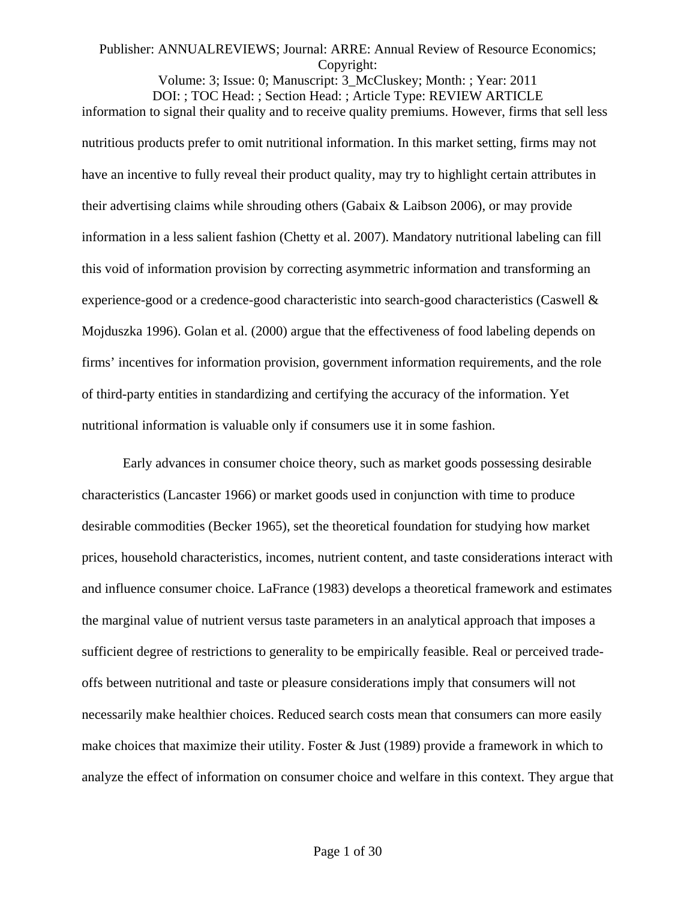Volume: 3; Issue: 0; Manuscript: 3\_McCluskey; Month: ; Year: 2011 DOI: ; TOC Head: ; Section Head: ; Article Type: REVIEW ARTICLE information to signal their quality and to receive quality premiums. However, firms that sell less nutritious products prefer to omit nutritional information. In this market setting, firms may not have an incentive to fully reveal their product quality, may try to highlight certain attributes in their advertising claims while shrouding others (Gabaix & Laibson 2006), or may provide information in a less salient fashion (Chetty et al. 2007). Mandatory nutritional labeling can fill this void of information provision by correcting asymmetric information and transforming an experience-good or a credence-good characteristic into search-good characteristics (Caswell & Mojduszka 1996). Golan et al. (2000) argue that the effectiveness of food labeling depends on firms' incentives for information provision, government information requirements, and the role of third-party entities in standardizing and certifying the accuracy of the information. Yet nutritional information is valuable only if consumers use it in some fashion.

Early advances in consumer choice theory, such as market goods possessing desirable characteristics (Lancaster 1966) or market goods used in conjunction with time to produce desirable commodities (Becker 1965), set the theoretical foundation for studying how market prices, household characteristics, incomes, nutrient content, and taste considerations interact with and influence consumer choice. LaFrance (1983) develops a theoretical framework and estimates the marginal value of nutrient versus taste parameters in an analytical approach that imposes a sufficient degree of restrictions to generality to be empirically feasible. Real or perceived tradeoffs between nutritional and taste or pleasure considerations imply that consumers will not necessarily make healthier choices. Reduced search costs mean that consumers can more easily make choices that maximize their utility. Foster & Just (1989) provide a framework in which to analyze the effect of information on consumer choice and welfare in this context. They argue that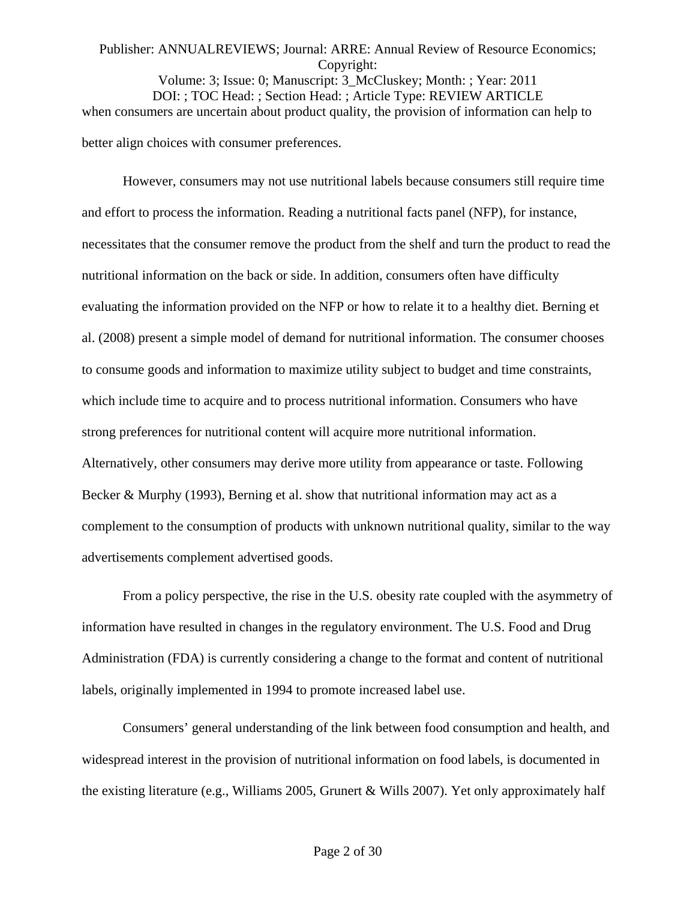# Publisher: ANNUALREVIEWS; Journal: ARRE: Annual Review of Resource Economics; Copyright: Volume: 3; Issue: 0; Manuscript: 3\_McCluskey; Month: ; Year: 2011 DOI: ; TOC Head: ; Section Head: ; Article Type: REVIEW ARTICLE when consumers are uncertain about product quality, the provision of information can help to better align choices with consumer preferences.

However, consumers may not use nutritional labels because consumers still require time and effort to process the information. Reading a nutritional facts panel (NFP), for instance, necessitates that the consumer remove the product from the shelf and turn the product to read the nutritional information on the back or side. In addition, consumers often have difficulty evaluating the information provided on the NFP or how to relate it to a healthy diet. Berning et al. (2008) present a simple model of demand for nutritional information. The consumer chooses to consume goods and information to maximize utility subject to budget and time constraints, which include time to acquire and to process nutritional information. Consumers who have strong preferences for nutritional content will acquire more nutritional information. Alternatively, other consumers may derive more utility from appearance or taste. Following Becker & Murphy (1993), Berning et al. show that nutritional information may act as a complement to the consumption of products with unknown nutritional quality, similar to the way advertisements complement advertised goods.

From a policy perspective, the rise in the U.S. obesity rate coupled with the asymmetry of information have resulted in changes in the regulatory environment. The U.S. Food and Drug Administration (FDA) is currently considering a change to the format and content of nutritional labels, originally implemented in 1994 to promote increased label use.

Consumers' general understanding of the link between food consumption and health, and widespread interest in the provision of nutritional information on food labels, is documented in the existing literature (e.g., Williams 2005, Grunert & Wills 2007). Yet only approximately half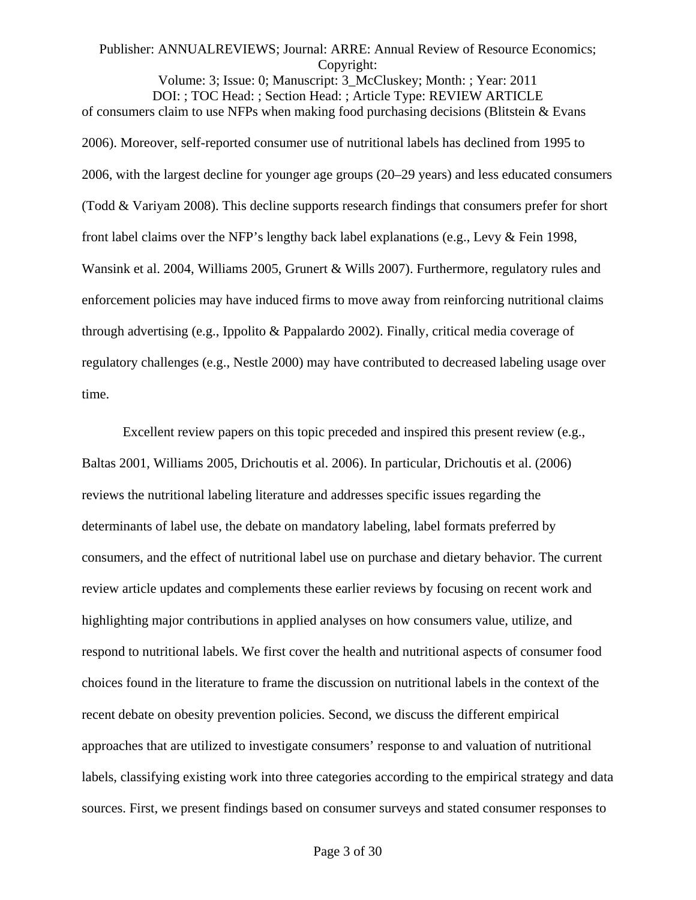Volume: 3; Issue: 0; Manuscript: 3\_McCluskey; Month: ; Year: 2011 DOI: ; TOC Head: ; Section Head: ; Article Type: REVIEW ARTICLE of consumers claim to use NFPs when making food purchasing decisions (Blitstein & Evans 2006). Moreover, self-reported consumer use of nutritional labels has declined from 1995 to 2006, with the largest decline for younger age groups (20–29 years) and less educated consumers (Todd & Variyam 2008). This decline supports research findings that consumers prefer for short front label claims over the NFP's lengthy back label explanations (e.g., Levy & Fein 1998, Wansink et al. 2004, Williams 2005, Grunert & Wills 2007). Furthermore, regulatory rules and enforcement policies may have induced firms to move away from reinforcing nutritional claims through advertising (e.g., Ippolito & Pappalardo 2002). Finally, critical media coverage of regulatory challenges (e.g., Nestle 2000) may have contributed to decreased labeling usage over time.

Excellent review papers on this topic preceded and inspired this present review (e.g., Baltas 2001, Williams 2005, Drichoutis et al. 2006). In particular, Drichoutis et al. (2006) reviews the nutritional labeling literature and addresses specific issues regarding the determinants of label use, the debate on mandatory labeling, label formats preferred by consumers, and the effect of nutritional label use on purchase and dietary behavior. The current review article updates and complements these earlier reviews by focusing on recent work and highlighting major contributions in applied analyses on how consumers value, utilize, and respond to nutritional labels. We first cover the health and nutritional aspects of consumer food choices found in the literature to frame the discussion on nutritional labels in the context of the recent debate on obesity prevention policies. Second, we discuss the different empirical approaches that are utilized to investigate consumers' response to and valuation of nutritional labels, classifying existing work into three categories according to the empirical strategy and data sources. First, we present findings based on consumer surveys and stated consumer responses to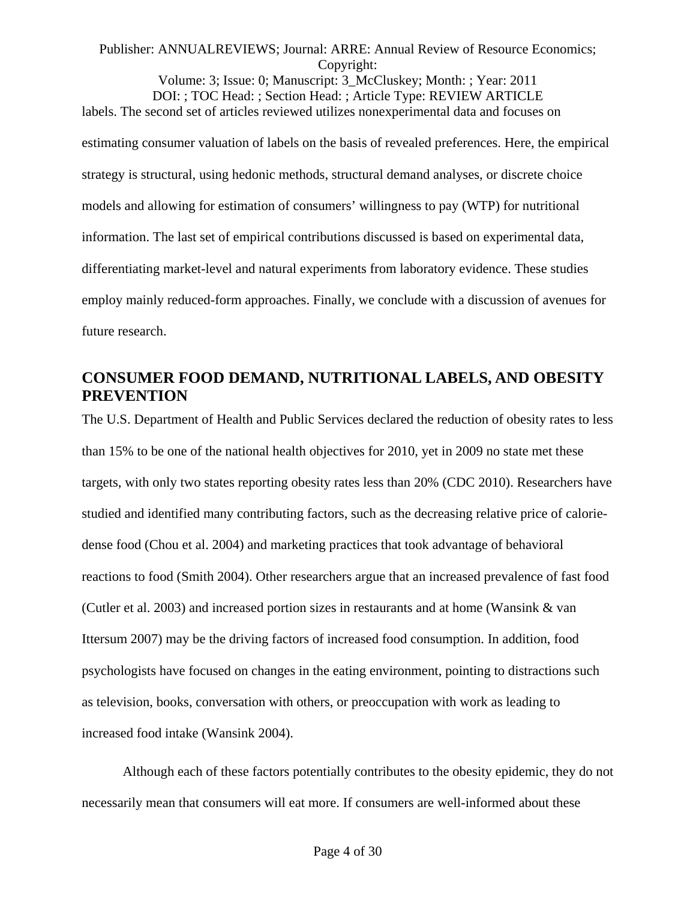Volume: 3; Issue: 0; Manuscript: 3\_McCluskey; Month: ; Year: 2011 DOI: ; TOC Head: ; Section Head: ; Article Type: REVIEW ARTICLE labels. The second set of articles reviewed utilizes nonexperimental data and focuses on estimating consumer valuation of labels on the basis of revealed preferences. Here, the empirical strategy is structural, using hedonic methods, structural demand analyses, or discrete choice models and allowing for estimation of consumers' willingness to pay (WTP) for nutritional information. The last set of empirical contributions discussed is based on experimental data, differentiating market-level and natural experiments from laboratory evidence. These studies employ mainly reduced-form approaches. Finally, we conclude with a discussion of avenues for future research.

# **CONSUMER FOOD DEMAND, NUTRITIONAL LABELS, AND OBESITY PREVENTION**

The U.S. Department of Health and Public Services declared the reduction of obesity rates to less than 15% to be one of the national health objectives for 2010, yet in 2009 no state met these targets, with only two states reporting obesity rates less than 20% (CDC 2010). Researchers have studied and identified many contributing factors, such as the decreasing relative price of caloriedense food (Chou et al. 2004) and marketing practices that took advantage of behavioral reactions to food (Smith 2004). Other researchers argue that an increased prevalence of fast food (Cutler et al. 2003) and increased portion sizes in restaurants and at home (Wansink & van Ittersum 2007) may be the driving factors of increased food consumption. In addition, food psychologists have focused on changes in the eating environment, pointing to distractions such as television, books, conversation with others, or preoccupation with work as leading to increased food intake (Wansink 2004).

Although each of these factors potentially contributes to the obesity epidemic, they do not necessarily mean that consumers will eat more. If consumers are well-informed about these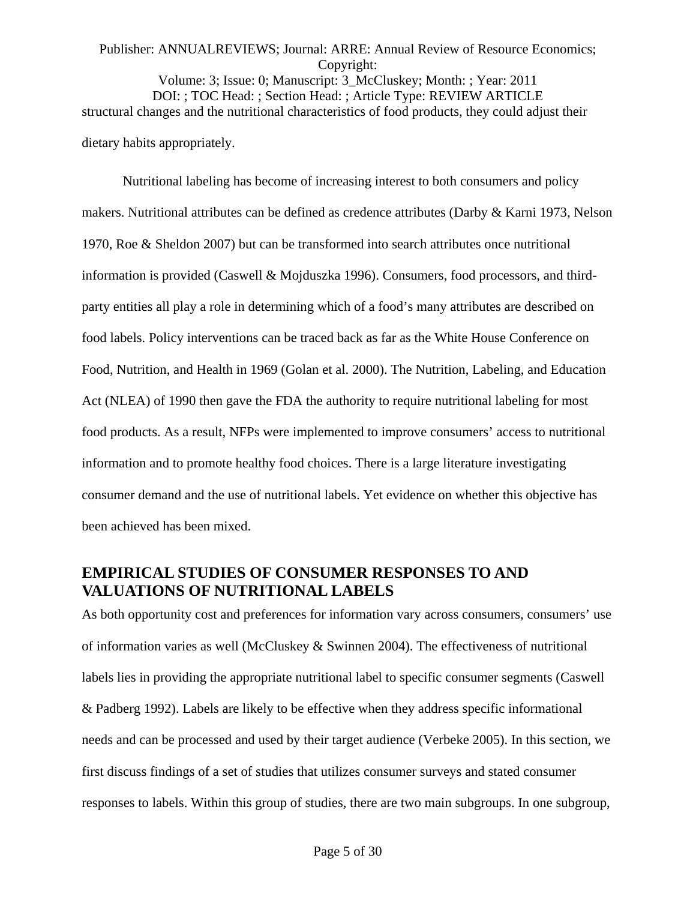# Publisher: ANNUALREVIEWS; Journal: ARRE: Annual Review of Resource Economics; Copyright: Volume: 3; Issue: 0; Manuscript: 3\_McCluskey; Month: ; Year: 2011 DOI: ; TOC Head: ; Section Head: ; Article Type: REVIEW ARTICLE structural changes and the nutritional characteristics of food products, they could adjust their dietary habits appropriately.

Nutritional labeling has become of increasing interest to both consumers and policy makers. Nutritional attributes can be defined as credence attributes (Darby & Karni 1973, Nelson 1970, Roe & Sheldon 2007) but can be transformed into search attributes once nutritional information is provided (Caswell & Mojduszka 1996). Consumers, food processors, and thirdparty entities all play a role in determining which of a food's many attributes are described on food labels. Policy interventions can be traced back as far as the White House Conference on Food, Nutrition, and Health in 1969 (Golan et al. 2000). The Nutrition, Labeling, and Education Act (NLEA) of 1990 then gave the FDA the authority to require nutritional labeling for most food products. As a result, NFPs were implemented to improve consumers' access to nutritional information and to promote healthy food choices. There is a large literature investigating consumer demand and the use of nutritional labels. Yet evidence on whether this objective has been achieved has been mixed.

# **EMPIRICAL STUDIES OF CONSUMER RESPONSES TO AND VALUATIONS OF NUTRITIONAL LABELS**

As both opportunity cost and preferences for information vary across consumers, consumers' use of information varies as well (McCluskey & Swinnen 2004). The effectiveness of nutritional labels lies in providing the appropriate nutritional label to specific consumer segments (Caswell & Padberg 1992). Labels are likely to be effective when they address specific informational needs and can be processed and used by their target audience (Verbeke 2005). In this section, we first discuss findings of a set of studies that utilizes consumer surveys and stated consumer responses to labels. Within this group of studies, there are two main subgroups. In one subgroup,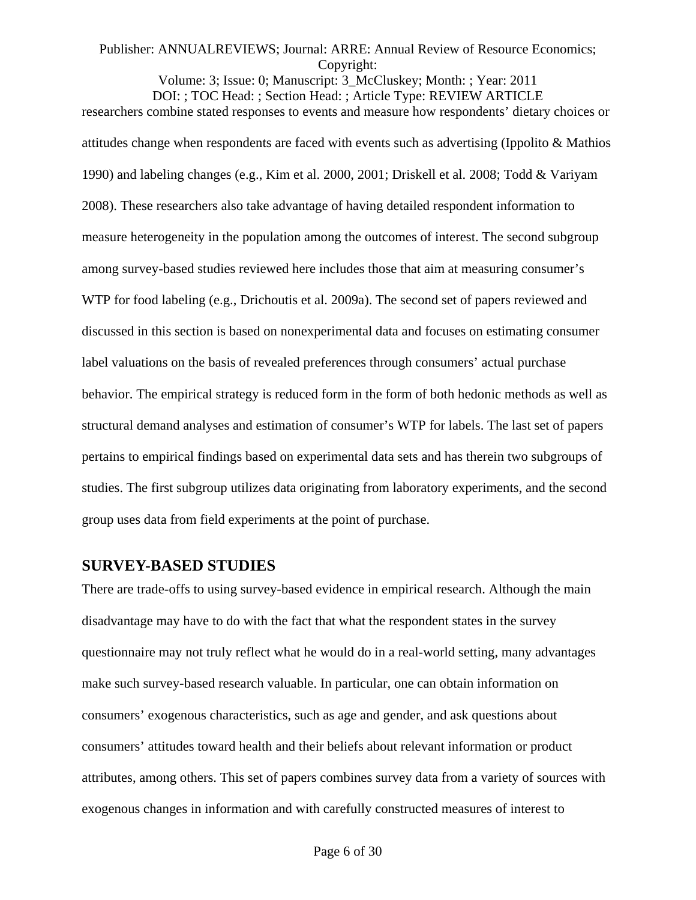Volume: 3; Issue: 0; Manuscript: 3\_McCluskey; Month: ; Year: 2011 DOI: ; TOC Head: ; Section Head: ; Article Type: REVIEW ARTICLE researchers combine stated responses to events and measure how respondents' dietary choices or attitudes change when respondents are faced with events such as advertising (Ippolito & Mathios 1990) and labeling changes (e.g., Kim et al. 2000, 2001; Driskell et al. 2008; Todd & Variyam 2008). These researchers also take advantage of having detailed respondent information to measure heterogeneity in the population among the outcomes of interest. The second subgroup among survey-based studies reviewed here includes those that aim at measuring consumer's WTP for food labeling (e.g., Drichoutis et al. 2009a). The second set of papers reviewed and discussed in this section is based on nonexperimental data and focuses on estimating consumer label valuations on the basis of revealed preferences through consumers' actual purchase behavior. The empirical strategy is reduced form in the form of both hedonic methods as well as structural demand analyses and estimation of consumer's WTP for labels. The last set of papers pertains to empirical findings based on experimental data sets and has therein two subgroups of studies. The first subgroup utilizes data originating from laboratory experiments, and the second group uses data from field experiments at the point of purchase.

## **SURVEY-BASED STUDIES**

There are trade-offs to using survey-based evidence in empirical research. Although the main disadvantage may have to do with the fact that what the respondent states in the survey questionnaire may not truly reflect what he would do in a real-world setting, many advantages make such survey-based research valuable. In particular, one can obtain information on consumers' exogenous characteristics, such as age and gender, and ask questions about consumers' attitudes toward health and their beliefs about relevant information or product attributes, among others. This set of papers combines survey data from a variety of sources with exogenous changes in information and with carefully constructed measures of interest to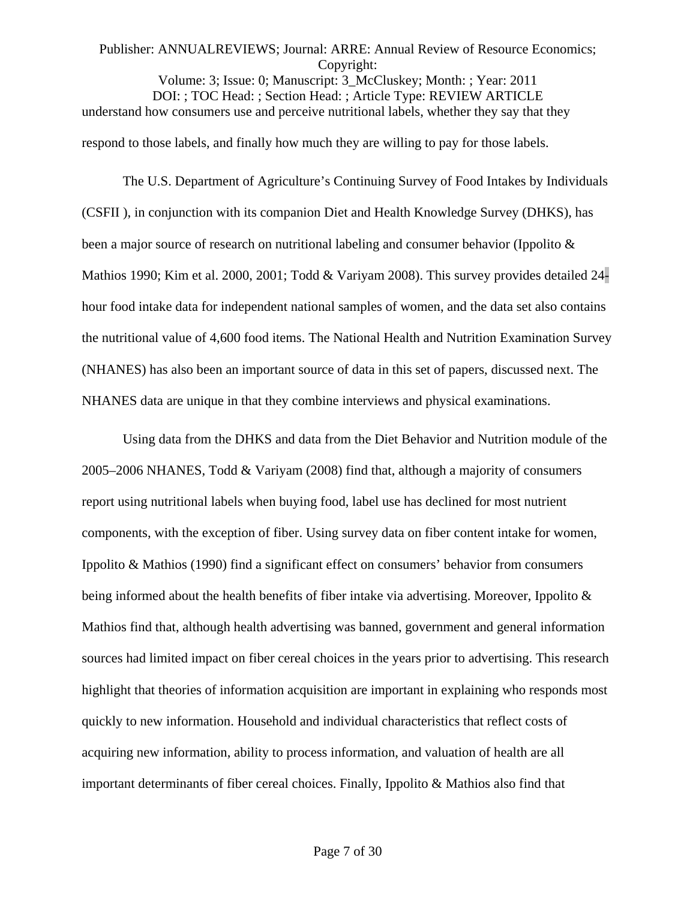Volume: 3; Issue: 0; Manuscript: 3\_McCluskey; Month: ; Year: 2011 DOI: ; TOC Head: ; Section Head: ; Article Type: REVIEW ARTICLE understand how consumers use and perceive nutritional labels, whether they say that they respond to those labels, and finally how much they are willing to pay for those labels.

The U.S. Department of Agriculture's Continuing Survey of Food Intakes by Individuals (CSFII ), in conjunction with its companion Diet and Health Knowledge Survey (DHKS), has been a major source of research on nutritional labeling and consumer behavior (Ippolito & Mathios 1990; Kim et al. 2000, 2001; Todd & Variyam 2008). This survey provides detailed 24 hour food intake data for independent national samples of women, and the data set also contains the nutritional value of 4,600 food items. The National Health and Nutrition Examination Survey (NHANES) has also been an important source of data in this set of papers, discussed next. The NHANES data are unique in that they combine interviews and physical examinations.

Using data from the DHKS and data from the Diet Behavior and Nutrition module of the 2005–2006 NHANES, Todd & Variyam (2008) find that, although a majority of consumers report using nutritional labels when buying food, label use has declined for most nutrient components, with the exception of fiber. Using survey data on fiber content intake for women, Ippolito & Mathios (1990) find a significant effect on consumers' behavior from consumers being informed about the health benefits of fiber intake via advertising. Moreover, Ippolito & Mathios find that, although health advertising was banned, government and general information sources had limited impact on fiber cereal choices in the years prior to advertising. This research highlight that theories of information acquisition are important in explaining who responds most quickly to new information. Household and individual characteristics that reflect costs of acquiring new information, ability to process information, and valuation of health are all important determinants of fiber cereal choices. Finally, Ippolito & Mathios also find that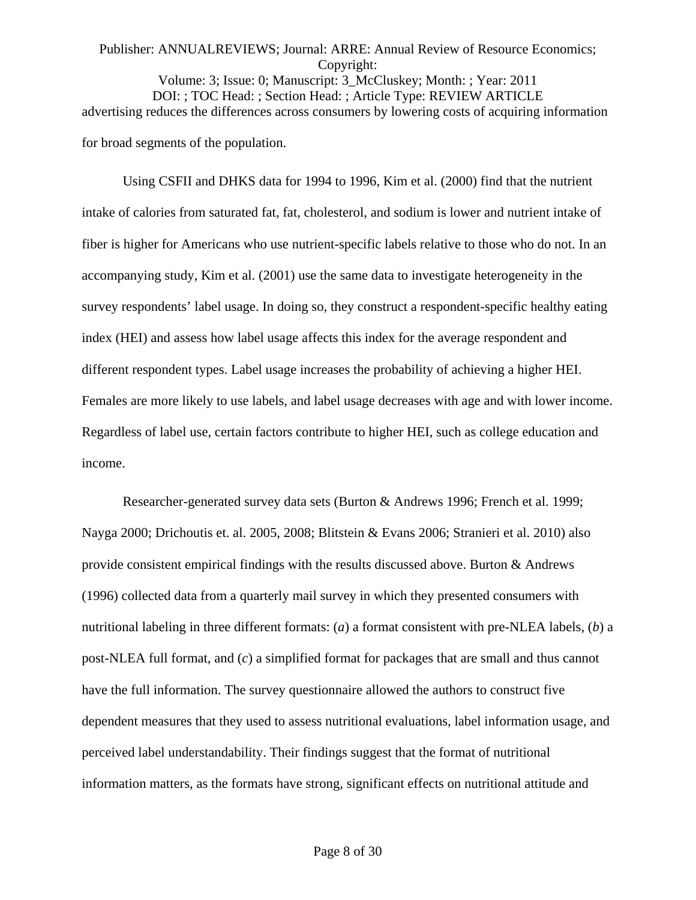#### Publisher: ANNUALREVIEWS; Journal: ARRE: Annual Review of Resource Economics; Copyright: Volume: 3; Issue: 0; Manuscript: 3\_McCluskey; Month: ; Year: 2011

DOI: ; TOC Head: ; Section Head: ; Article Type: REVIEW ARTICLE advertising reduces the differences across consumers by lowering costs of acquiring information for broad segments of the population.

Using CSFII and DHKS data for 1994 to 1996, Kim et al. (2000) find that the nutrient intake of calories from saturated fat, fat, cholesterol, and sodium is lower and nutrient intake of fiber is higher for Americans who use nutrient-specific labels relative to those who do not. In an accompanying study, Kim et al. (2001) use the same data to investigate heterogeneity in the survey respondents' label usage. In doing so, they construct a respondent-specific healthy eating index (HEI) and assess how label usage affects this index for the average respondent and different respondent types. Label usage increases the probability of achieving a higher HEI. Females are more likely to use labels, and label usage decreases with age and with lower income. Regardless of label use, certain factors contribute to higher HEI, such as college education and income.

Researcher-generated survey data sets (Burton & Andrews 1996; French et al. 1999; Nayga 2000; Drichoutis et. al. 2005, 2008; Blitstein & Evans 2006; Stranieri et al. 2010) also provide consistent empirical findings with the results discussed above. Burton & Andrews (1996) collected data from a quarterly mail survey in which they presented consumers with nutritional labeling in three different formats: (*a*) a format consistent with pre-NLEA labels, (*b*) a post-NLEA full format, and (*c*) a simplified format for packages that are small and thus cannot have the full information. The survey questionnaire allowed the authors to construct five dependent measures that they used to assess nutritional evaluations, label information usage, and perceived label understandability. Their findings suggest that the format of nutritional information matters, as the formats have strong, significant effects on nutritional attitude and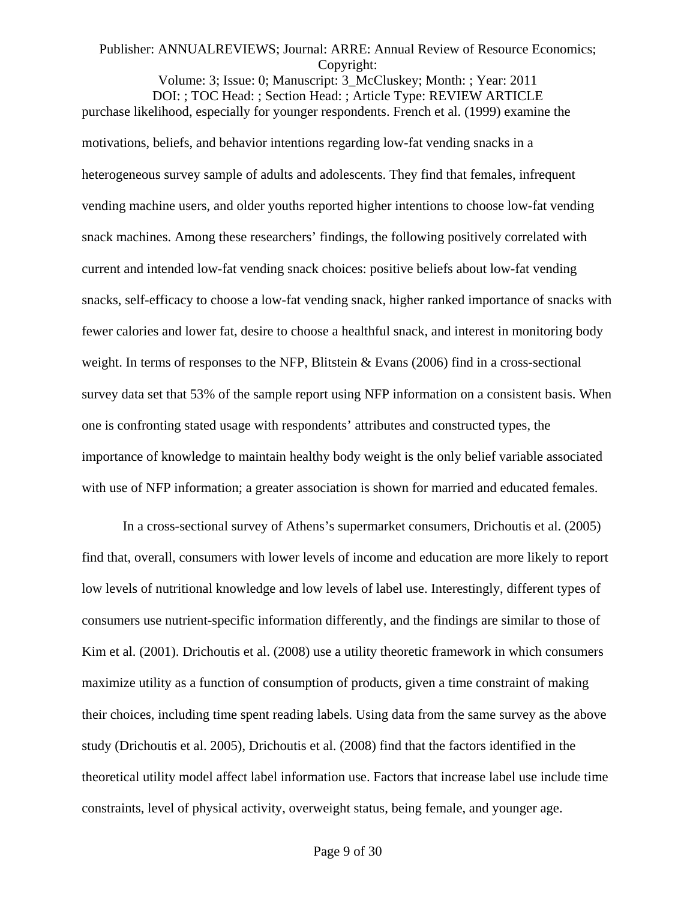Volume: 3; Issue: 0; Manuscript: 3\_McCluskey; Month: ; Year: 2011 DOI: ; TOC Head: ; Section Head: ; Article Type: REVIEW ARTICLE purchase likelihood, especially for younger respondents. French et al. (1999) examine the motivations, beliefs, and behavior intentions regarding low-fat vending snacks in a heterogeneous survey sample of adults and adolescents. They find that females, infrequent vending machine users, and older youths reported higher intentions to choose low-fat vending snack machines. Among these researchers' findings, the following positively correlated with current and intended low-fat vending snack choices: positive beliefs about low-fat vending snacks, self-efficacy to choose a low-fat vending snack, higher ranked importance of snacks with fewer calories and lower fat, desire to choose a healthful snack, and interest in monitoring body weight. In terms of responses to the NFP, Blitstein & Evans (2006) find in a cross-sectional survey data set that 53% of the sample report using NFP information on a consistent basis. When one is confronting stated usage with respondents' attributes and constructed types, the importance of knowledge to maintain healthy body weight is the only belief variable associated with use of NFP information; a greater association is shown for married and educated females.

In a cross-sectional survey of Athens's supermarket consumers, Drichoutis et al. (2005) find that, overall, consumers with lower levels of income and education are more likely to report low levels of nutritional knowledge and low levels of label use. Interestingly, different types of consumers use nutrient-specific information differently, and the findings are similar to those of Kim et al. (2001). Drichoutis et al. (2008) use a utility theoretic framework in which consumers maximize utility as a function of consumption of products, given a time constraint of making their choices, including time spent reading labels. Using data from the same survey as the above study (Drichoutis et al. 2005), Drichoutis et al. (2008) find that the factors identified in the theoretical utility model affect label information use. Factors that increase label use include time constraints, level of physical activity, overweight status, being female, and younger age.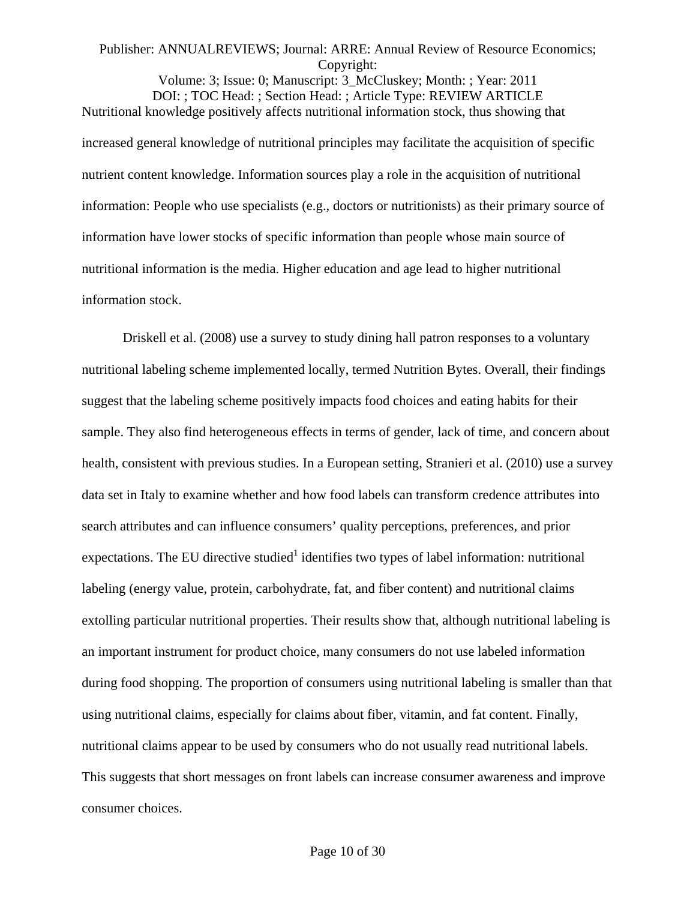Volume: 3; Issue: 0; Manuscript: 3\_McCluskey; Month: ; Year: 2011 DOI: ; TOC Head: ; Section Head: ; Article Type: REVIEW ARTICLE Nutritional knowledge positively affects nutritional information stock, thus showing that increased general knowledge of nutritional principles may facilitate the acquisition of specific nutrient content knowledge. Information sources play a role in the acquisition of nutritional information: People who use specialists (e.g., doctors or nutritionists) as their primary source of information have lower stocks of specific information than people whose main source of nutritional information is the media. Higher education and age lead to higher nutritional information stock.

Driskell et al. (2008) use a survey to study dining hall patron responses to a voluntary nutritional labeling scheme implemented locally, termed Nutrition Bytes. Overall, their findings suggest that the labeling scheme positively impacts food choices and eating habits for their sample. They also find heterogeneous effects in terms of gender, lack of time, and concern about health, consistent with previous studies. In a European setting, Stranieri et al. (2010) use a survey data set in Italy to examine whether and how food labels can transform credence attributes into search attributes and can influence consumers' quality perceptions, preferences, and prior expectations. The EU directive studied<sup>1</sup> identifies two types of label information: nutritional labeling (energy value, protein, carbohydrate, fat, and fiber content) and nutritional claims extolling particular nutritional properties. Their results show that, although nutritional labeling is an important instrument for product choice, many consumers do not use labeled information during food shopping. The proportion of consumers using nutritional labeling is smaller than that using nutritional claims, especially for claims about fiber, vitamin, and fat content. Finally, nutritional claims appear to be used by consumers who do not usually read nutritional labels. This suggests that short messages on front labels can increase consumer awareness and improve consumer choices.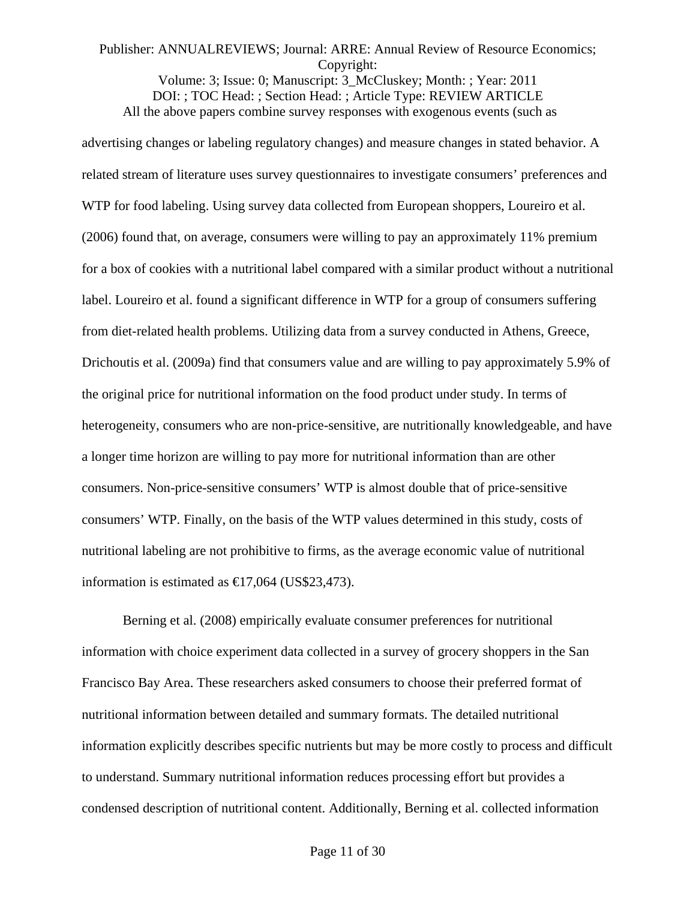Volume: 3; Issue: 0; Manuscript: 3\_McCluskey; Month: ; Year: 2011 DOI: ; TOC Head: ; Section Head: ; Article Type: REVIEW ARTICLE All the above papers combine survey responses with exogenous events (such as

advertising changes or labeling regulatory changes) and measure changes in stated behavior. A related stream of literature uses survey questionnaires to investigate consumers' preferences and WTP for food labeling. Using survey data collected from European shoppers, Loureiro et al. (2006) found that, on average, consumers were willing to pay an approximately 11% premium for a box of cookies with a nutritional label compared with a similar product without a nutritional label. Loureiro et al. found a significant difference in WTP for a group of consumers suffering from diet-related health problems. Utilizing data from a survey conducted in Athens, Greece, Drichoutis et al. (2009a) find that consumers value and are willing to pay approximately 5.9% of the original price for nutritional information on the food product under study. In terms of heterogeneity, consumers who are non-price-sensitive, are nutritionally knowledgeable, and have a longer time horizon are willing to pay more for nutritional information than are other consumers. Non-price-sensitive consumers' WTP is almost double that of price-sensitive consumers' WTP. Finally, on the basis of the WTP values determined in this study, costs of nutritional labeling are not prohibitive to firms, as the average economic value of nutritional information is estimated as  $\text{€}17,064$  (US\$23,473).

Berning et al. (2008) empirically evaluate consumer preferences for nutritional information with choice experiment data collected in a survey of grocery shoppers in the San Francisco Bay Area. These researchers asked consumers to choose their preferred format of nutritional information between detailed and summary formats. The detailed nutritional information explicitly describes specific nutrients but may be more costly to process and difficult to understand. Summary nutritional information reduces processing effort but provides a condensed description of nutritional content. Additionally, Berning et al. collected information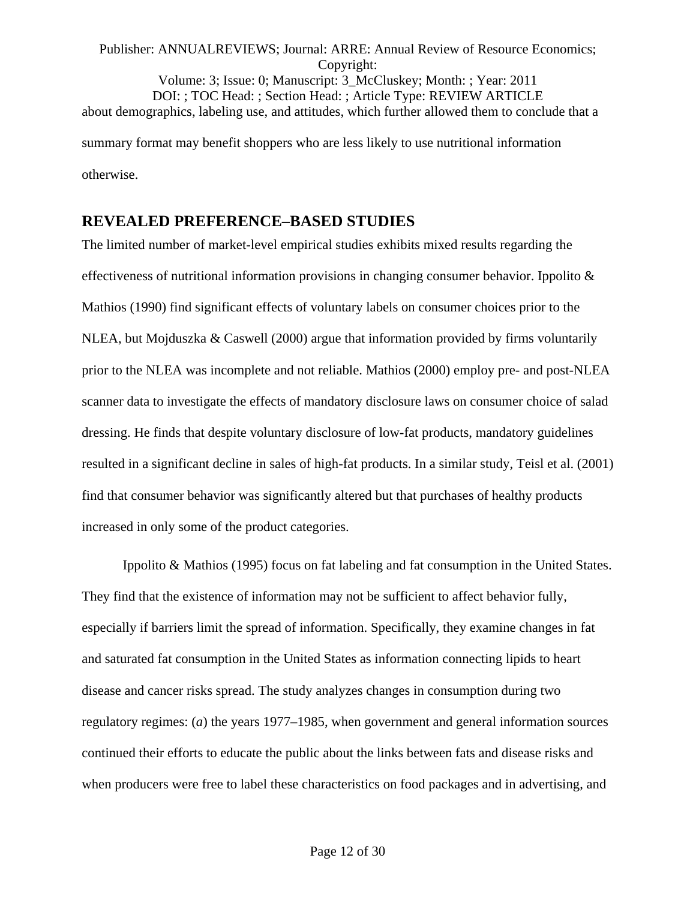# Publisher: ANNUALREVIEWS; Journal: ARRE: Annual Review of Resource Economics; Copyright: Volume: 3; Issue: 0; Manuscript: 3\_McCluskey; Month: ; Year: 2011 DOI: ; TOC Head: ; Section Head: ; Article Type: REVIEW ARTICLE about demographics, labeling use, and attitudes, which further allowed them to conclude that a summary format may benefit shoppers who are less likely to use nutritional information otherwise.

# **REVEALED PREFERENCE–BASED STUDIES**

The limited number of market-level empirical studies exhibits mixed results regarding the effectiveness of nutritional information provisions in changing consumer behavior. Ippolito & Mathios (1990) find significant effects of voluntary labels on consumer choices prior to the NLEA, but Mojduszka & Caswell (2000) argue that information provided by firms voluntarily prior to the NLEA was incomplete and not reliable. Mathios (2000) employ pre- and post-NLEA scanner data to investigate the effects of mandatory disclosure laws on consumer choice of salad dressing. He finds that despite voluntary disclosure of low-fat products, mandatory guidelines resulted in a significant decline in sales of high-fat products. In a similar study, Teisl et al. (2001) find that consumer behavior was significantly altered but that purchases of healthy products increased in only some of the product categories.

Ippolito & Mathios (1995) focus on fat labeling and fat consumption in the United States. They find that the existence of information may not be sufficient to affect behavior fully, especially if barriers limit the spread of information. Specifically, they examine changes in fat and saturated fat consumption in the United States as information connecting lipids to heart disease and cancer risks spread. The study analyzes changes in consumption during two regulatory regimes: (*a*) the years 1977–1985, when government and general information sources continued their efforts to educate the public about the links between fats and disease risks and when producers were free to label these characteristics on food packages and in advertising, and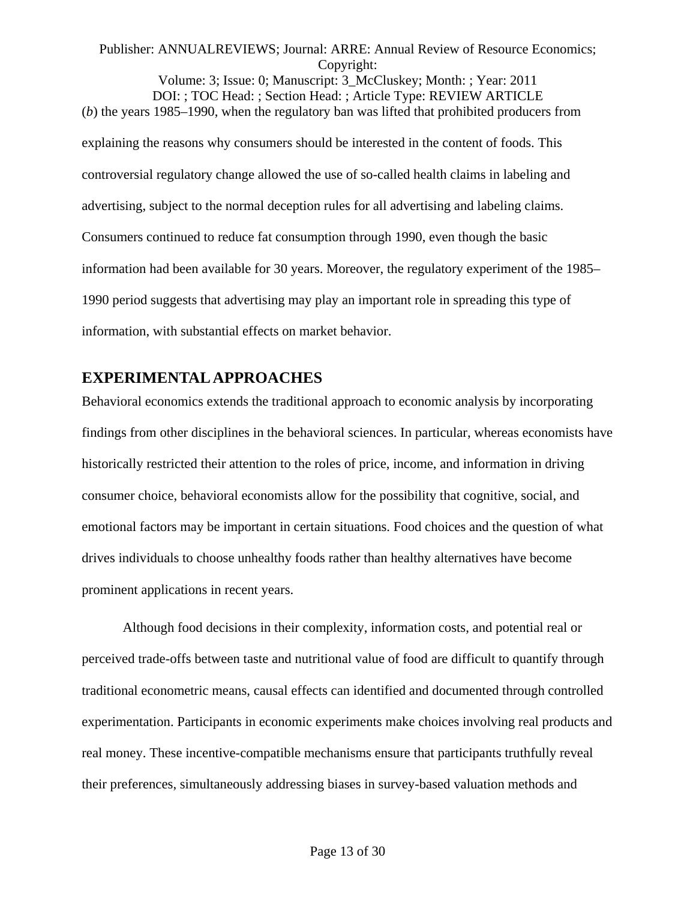Volume: 3; Issue: 0; Manuscript: 3\_McCluskey; Month: ; Year: 2011 DOI: ; TOC Head: ; Section Head: ; Article Type: REVIEW ARTICLE (*b*) the years 1985–1990, when the regulatory ban was lifted that prohibited producers from explaining the reasons why consumers should be interested in the content of foods. This controversial regulatory change allowed the use of so-called health claims in labeling and advertising, subject to the normal deception rules for all advertising and labeling claims. Consumers continued to reduce fat consumption through 1990, even though the basic information had been available for 30 years. Moreover, the regulatory experiment of the 1985– 1990 period suggests that advertising may play an important role in spreading this type of information, with substantial effects on market behavior.

# **EXPERIMENTAL APPROACHES**

Behavioral economics extends the traditional approach to economic analysis by incorporating findings from other disciplines in the behavioral sciences. In particular, whereas economists have historically restricted their attention to the roles of price, income, and information in driving consumer choice, behavioral economists allow for the possibility that cognitive, social, and emotional factors may be important in certain situations. Food choices and the question of what drives individuals to choose unhealthy foods rather than healthy alternatives have become prominent applications in recent years.

Although food decisions in their complexity, information costs, and potential real or perceived trade-offs between taste and nutritional value of food are difficult to quantify through traditional econometric means, causal effects can identified and documented through controlled experimentation. Participants in economic experiments make choices involving real products and real money. These incentive-compatible mechanisms ensure that participants truthfully reveal their preferences, simultaneously addressing biases in survey-based valuation methods and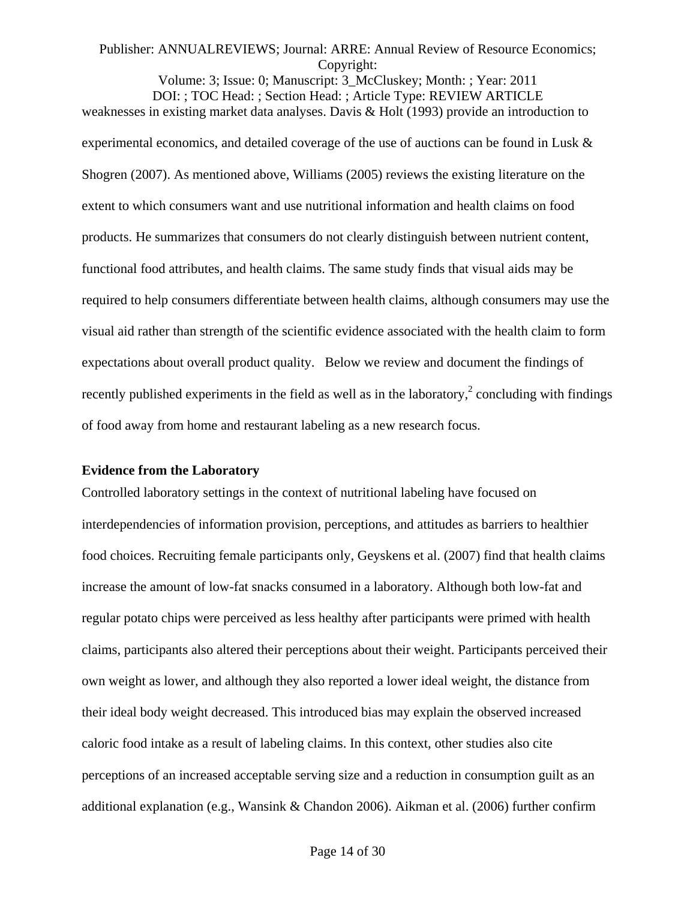Volume: 3; Issue: 0; Manuscript: 3\_McCluskey; Month: ; Year: 2011 DOI: ; TOC Head: ; Section Head: ; Article Type: REVIEW ARTICLE weaknesses in existing market data analyses. Davis & Holt (1993) provide an introduction to experimental economics, and detailed coverage of the use of auctions can be found in Lusk & Shogren (2007). As mentioned above, Williams (2005) reviews the existing literature on the extent to which consumers want and use nutritional information and health claims on food products. He summarizes that consumers do not clearly distinguish between nutrient content, functional food attributes, and health claims. The same study finds that visual aids may be required to help consumers differentiate between health claims, although consumers may use the visual aid rather than strength of the scientific evidence associated with the health claim to form expectations about overall product quality. Below we review and document the findings of recently published experiments in the field as well as in the laboratory,<sup>2</sup> concluding with findings of food away from home and restaurant labeling as a new research focus.

#### **Evidence from the Laboratory**

Controlled laboratory settings in the context of nutritional labeling have focused on interdependencies of information provision, perceptions, and attitudes as barriers to healthier food choices. Recruiting female participants only, Geyskens et al. (2007) find that health claims increase the amount of low-fat snacks consumed in a laboratory. Although both low-fat and regular potato chips were perceived as less healthy after participants were primed with health claims, participants also altered their perceptions about their weight. Participants perceived their own weight as lower, and although they also reported a lower ideal weight, the distance from their ideal body weight decreased. This introduced bias may explain the observed increased caloric food intake as a result of labeling claims. In this context, other studies also cite perceptions of an increased acceptable serving size and a reduction in consumption guilt as an additional explanation (e.g., Wansink & Chandon 2006). Aikman et al. (2006) further confirm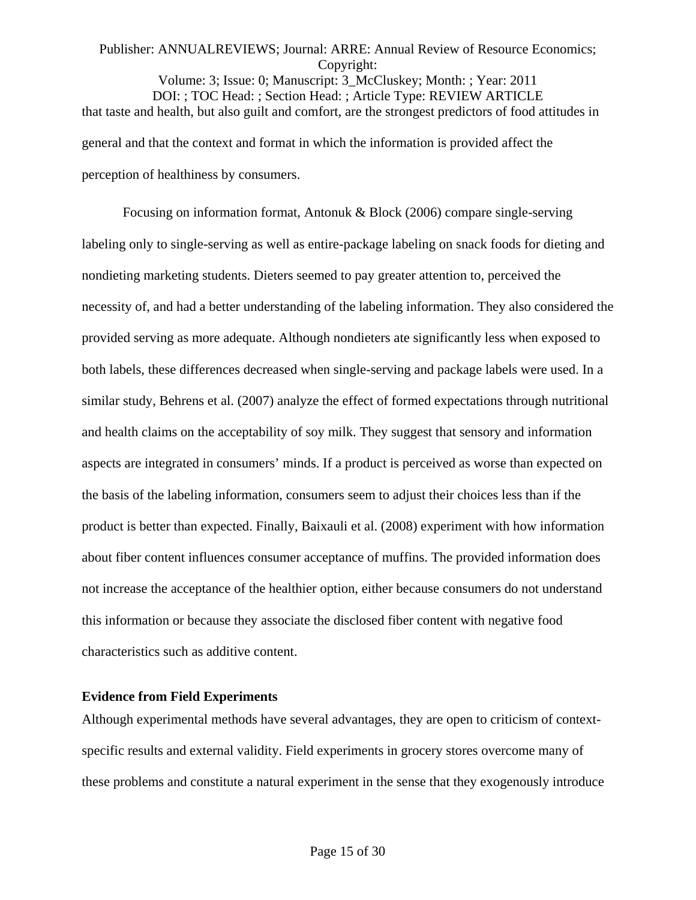Volume: 3; Issue: 0; Manuscript: 3\_McCluskey; Month: ; Year: 2011 DOI: ; TOC Head: ; Section Head: ; Article Type: REVIEW ARTICLE that taste and health, but also guilt and comfort, are the strongest predictors of food attitudes in general and that the context and format in which the information is provided affect the perception of healthiness by consumers.

Focusing on information format, Antonuk & Block (2006) compare single-serving labeling only to single-serving as well as entire-package labeling on snack foods for dieting and nondieting marketing students. Dieters seemed to pay greater attention to, perceived the necessity of, and had a better understanding of the labeling information. They also considered the provided serving as more adequate. Although nondieters ate significantly less when exposed to both labels, these differences decreased when single-serving and package labels were used. In a similar study, Behrens et al. (2007) analyze the effect of formed expectations through nutritional and health claims on the acceptability of soy milk. They suggest that sensory and information aspects are integrated in consumers' minds. If a product is perceived as worse than expected on the basis of the labeling information, consumers seem to adjust their choices less than if the product is better than expected. Finally, Baixauli et al. (2008) experiment with how information about fiber content influences consumer acceptance of muffins. The provided information does not increase the acceptance of the healthier option, either because consumers do not understand this information or because they associate the disclosed fiber content with negative food characteristics such as additive content.

#### **Evidence from Field Experiments**

Although experimental methods have several advantages, they are open to criticism of contextspecific results and external validity. Field experiments in grocery stores overcome many of these problems and constitute a natural experiment in the sense that they exogenously introduce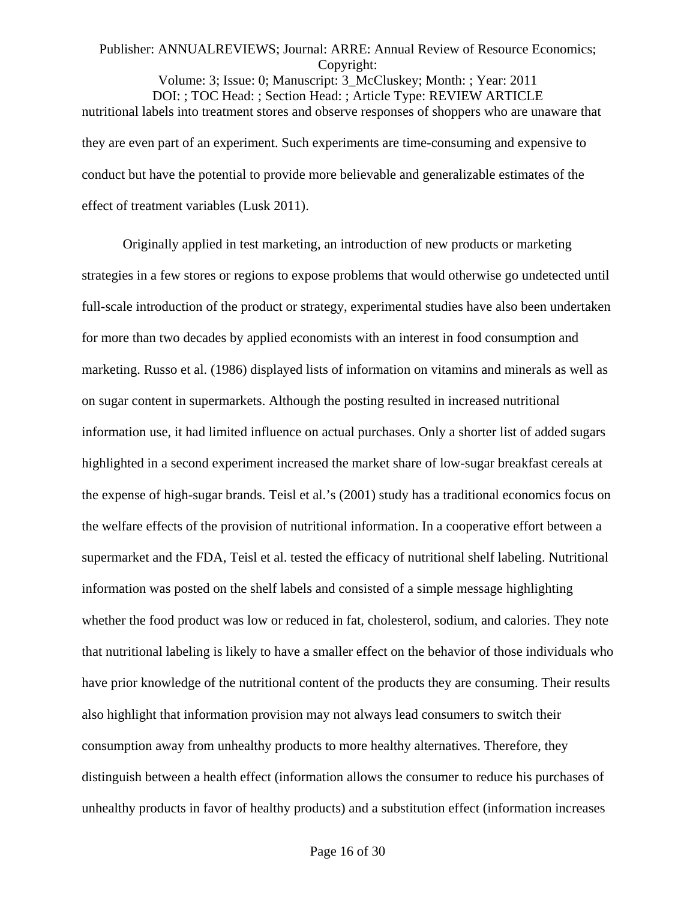Volume: 3; Issue: 0; Manuscript: 3\_McCluskey; Month: ; Year: 2011 DOI: ; TOC Head: ; Section Head: ; Article Type: REVIEW ARTICLE nutritional labels into treatment stores and observe responses of shoppers who are unaware that they are even part of an experiment. Such experiments are time-consuming and expensive to conduct but have the potential to provide more believable and generalizable estimates of the effect of treatment variables (Lusk 2011).

Originally applied in test marketing, an introduction of new products or marketing strategies in a few stores or regions to expose problems that would otherwise go undetected until full-scale introduction of the product or strategy, experimental studies have also been undertaken for more than two decades by applied economists with an interest in food consumption and marketing. Russo et al. (1986) displayed lists of information on vitamins and minerals as well as on sugar content in supermarkets. Although the posting resulted in increased nutritional information use, it had limited influence on actual purchases. Only a shorter list of added sugars highlighted in a second experiment increased the market share of low-sugar breakfast cereals at the expense of high-sugar brands. Teisl et al.'s (2001) study has a traditional economics focus on the welfare effects of the provision of nutritional information. In a cooperative effort between a supermarket and the FDA, Teisl et al. tested the efficacy of nutritional shelf labeling. Nutritional information was posted on the shelf labels and consisted of a simple message highlighting whether the food product was low or reduced in fat, cholesterol, sodium, and calories. They note that nutritional labeling is likely to have a smaller effect on the behavior of those individuals who have prior knowledge of the nutritional content of the products they are consuming. Their results also highlight that information provision may not always lead consumers to switch their consumption away from unhealthy products to more healthy alternatives. Therefore, they distinguish between a health effect (information allows the consumer to reduce his purchases of unhealthy products in favor of healthy products) and a substitution effect (information increases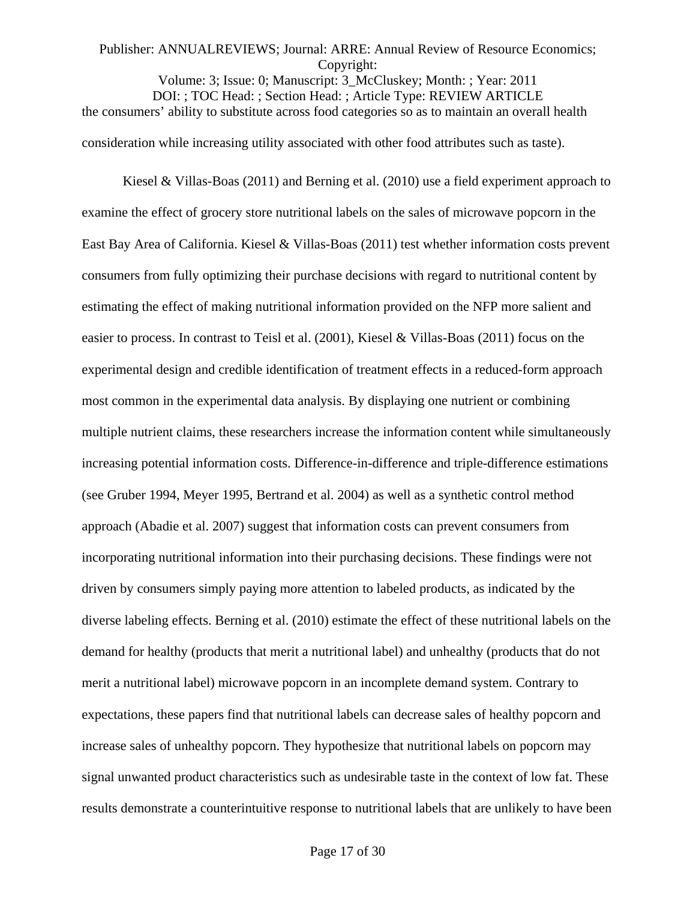Volume: 3; Issue: 0; Manuscript: 3\_McCluskey; Month: ; Year: 2011 DOI: ; TOC Head: ; Section Head: ; Article Type: REVIEW ARTICLE the consumers' ability to substitute across food categories so as to maintain an overall health consideration while increasing utility associated with other food attributes such as taste).

Kiesel & Villas-Boas (2011) and Berning et al. (2010) use a field experiment approach to examine the effect of grocery store nutritional labels on the sales of microwave popcorn in the East Bay Area of California. Kiesel & Villas-Boas (2011) test whether information costs prevent consumers from fully optimizing their purchase decisions with regard to nutritional content by estimating the effect of making nutritional information provided on the NFP more salient and easier to process. In contrast to Teisl et al. (2001), Kiesel & Villas-Boas (2011) focus on the experimental design and credible identification of treatment effects in a reduced-form approach most common in the experimental data analysis. By displaying one nutrient or combining multiple nutrient claims, these researchers increase the information content while simultaneously increasing potential information costs. Difference-in-difference and triple-difference estimations (see Gruber 1994, Meyer 1995, Bertrand et al. 2004) as well as a synthetic control method approach (Abadie et al. 2007) suggest that information costs can prevent consumers from incorporating nutritional information into their purchasing decisions. These findings were not driven by consumers simply paying more attention to labeled products, as indicated by the diverse labeling effects. Berning et al. (2010) estimate the effect of these nutritional labels on the demand for healthy (products that merit a nutritional label) and unhealthy (products that do not merit a nutritional label) microwave popcorn in an incomplete demand system. Contrary to expectations, these papers find that nutritional labels can decrease sales of healthy popcorn and increase sales of unhealthy popcorn. They hypothesize that nutritional labels on popcorn may signal unwanted product characteristics such as undesirable taste in the context of low fat. These results demonstrate a counterintuitive response to nutritional labels that are unlikely to have been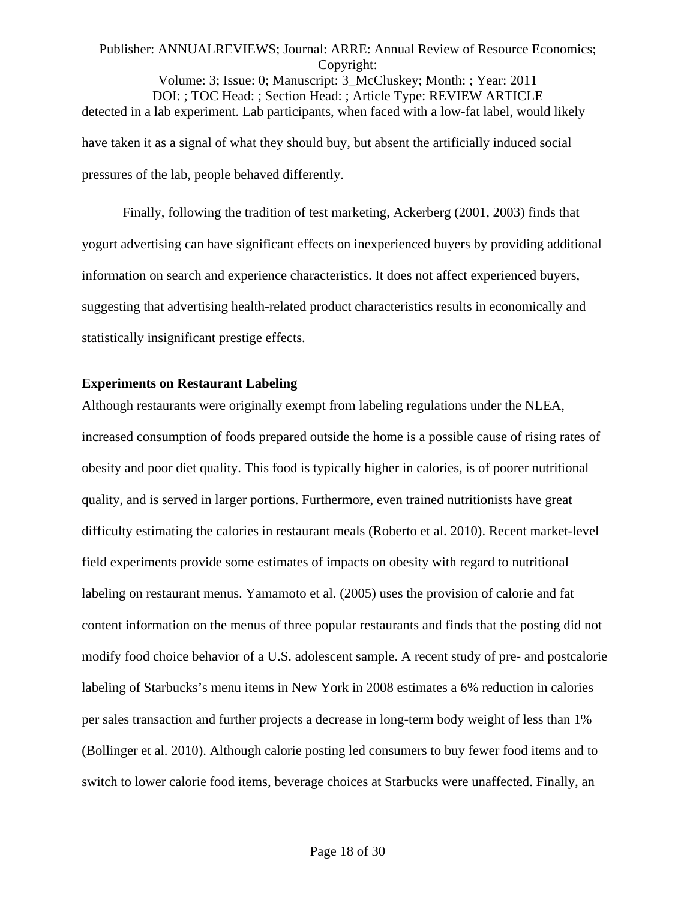Volume: 3; Issue: 0; Manuscript: 3\_McCluskey; Month: ; Year: 2011 DOI: ; TOC Head: ; Section Head: ; Article Type: REVIEW ARTICLE detected in a lab experiment. Lab participants, when faced with a low-fat label, would likely have taken it as a signal of what they should buy, but absent the artificially induced social pressures of the lab, people behaved differently.

Finally, following the tradition of test marketing, Ackerberg (2001, 2003) finds that yogurt advertising can have significant effects on inexperienced buyers by providing additional information on search and experience characteristics. It does not affect experienced buyers, suggesting that advertising health-related product characteristics results in economically and statistically insignificant prestige effects.

#### **Experiments on Restaurant Labeling**

Although restaurants were originally exempt from labeling regulations under the NLEA, increased consumption of foods prepared outside the home is a possible cause of rising rates of obesity and poor diet quality. This food is typically higher in calories, is of poorer nutritional quality, and is served in larger portions. Furthermore, even trained nutritionists have great difficulty estimating the calories in restaurant meals (Roberto et al. 2010). Recent market-level field experiments provide some estimates of impacts on obesity with regard to nutritional labeling on restaurant menus. Yamamoto et al. (2005) uses the provision of calorie and fat content information on the menus of three popular restaurants and finds that the posting did not modify food choice behavior of a U.S. adolescent sample. A recent study of pre- and postcalorie labeling of Starbucks's menu items in New York in 2008 estimates a 6% reduction in calories per sales transaction and further projects a decrease in long-term body weight of less than 1% (Bollinger et al. 2010). Although calorie posting led consumers to buy fewer food items and to switch to lower calorie food items, beverage choices at Starbucks were unaffected. Finally, an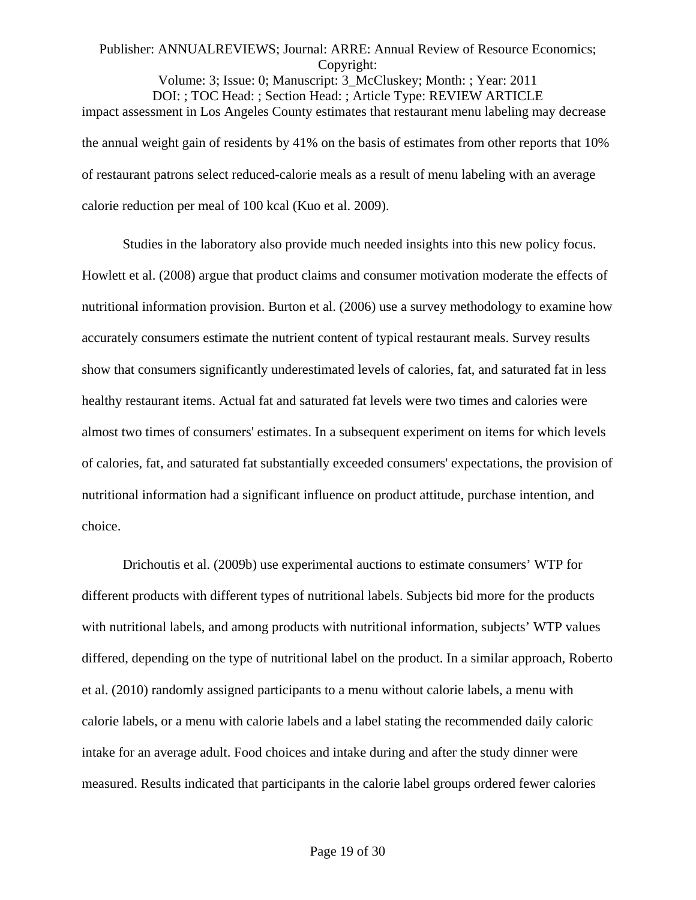Volume: 3; Issue: 0; Manuscript: 3\_McCluskey; Month: ; Year: 2011 DOI: ; TOC Head: ; Section Head: ; Article Type: REVIEW ARTICLE impact assessment in Los Angeles County estimates that restaurant menu labeling may decrease the annual weight gain of residents by 41% on the basis of estimates from other reports that 10% of restaurant patrons select reduced-calorie meals as a result of menu labeling with an average calorie reduction per meal of 100 kcal (Kuo et al. 2009).

Studies in the laboratory also provide much needed insights into this new policy focus. Howlett et al. (2008) argue that product claims and consumer motivation moderate the effects of nutritional information provision. Burton et al. (2006) use a survey methodology to examine how accurately consumers estimate the nutrient content of typical restaurant meals. Survey results show that consumers significantly underestimated levels of calories, fat, and saturated fat in less healthy restaurant items. Actual fat and saturated fat levels were two times and calories were almost two times of consumers' estimates. In a subsequent experiment on items for which levels of calories, fat, and saturated fat substantially exceeded consumers' expectations, the provision of nutritional information had a significant influence on product attitude, purchase intention, and choice.

Drichoutis et al. (2009b) use experimental auctions to estimate consumers' WTP for different products with different types of nutritional labels. Subjects bid more for the products with nutritional labels, and among products with nutritional information, subjects' WTP values differed, depending on the type of nutritional label on the product. In a similar approach, Roberto et al. (2010) randomly assigned participants to a menu without calorie labels, a menu with calorie labels, or a menu with calorie labels and a label stating the recommended daily caloric intake for an average adult. Food choices and intake during and after the study dinner were measured. Results indicated that participants in the calorie label groups ordered fewer calories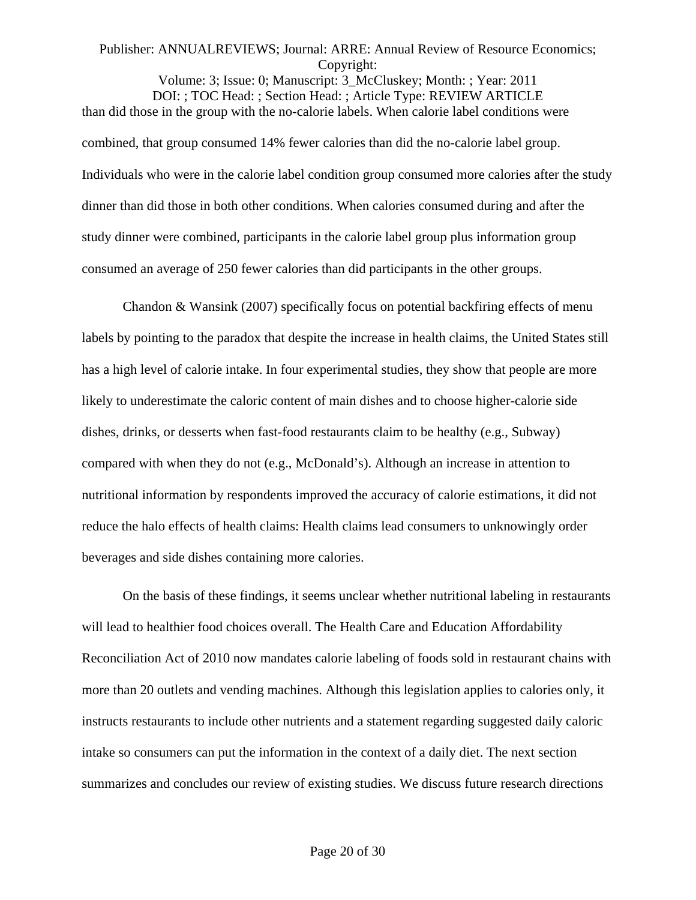Volume: 3; Issue: 0; Manuscript: 3\_McCluskey; Month: ; Year: 2011 DOI: ; TOC Head: ; Section Head: ; Article Type: REVIEW ARTICLE than did those in the group with the no-calorie labels. When calorie label conditions were combined, that group consumed 14% fewer calories than did the no-calorie label group. Individuals who were in the calorie label condition group consumed more calories after the study dinner than did those in both other conditions. When calories consumed during and after the study dinner were combined, participants in the calorie label group plus information group consumed an average of 250 fewer calories than did participants in the other groups.

Chandon & Wansink (2007) specifically focus on potential backfiring effects of menu labels by pointing to the paradox that despite the increase in health claims, the United States still has a high level of calorie intake. In four experimental studies, they show that people are more likely to underestimate the caloric content of main dishes and to choose higher-calorie side dishes, drinks, or desserts when fast-food restaurants claim to be healthy (e.g., Subway) compared with when they do not (e.g., McDonald's). Although an increase in attention to nutritional information by respondents improved the accuracy of calorie estimations, it did not reduce the halo effects of health claims: Health claims lead consumers to unknowingly order beverages and side dishes containing more calories.

On the basis of these findings, it seems unclear whether nutritional labeling in restaurants will lead to healthier food choices overall. The Health Care and Education Affordability Reconciliation Act of 2010 now mandates calorie labeling of foods sold in restaurant chains with more than 20 outlets and vending machines. Although this legislation applies to calories only, it instructs restaurants to include other nutrients and a statement regarding suggested daily caloric intake so consumers can put the information in the context of a daily diet. The next section summarizes and concludes our review of existing studies. We discuss future research directions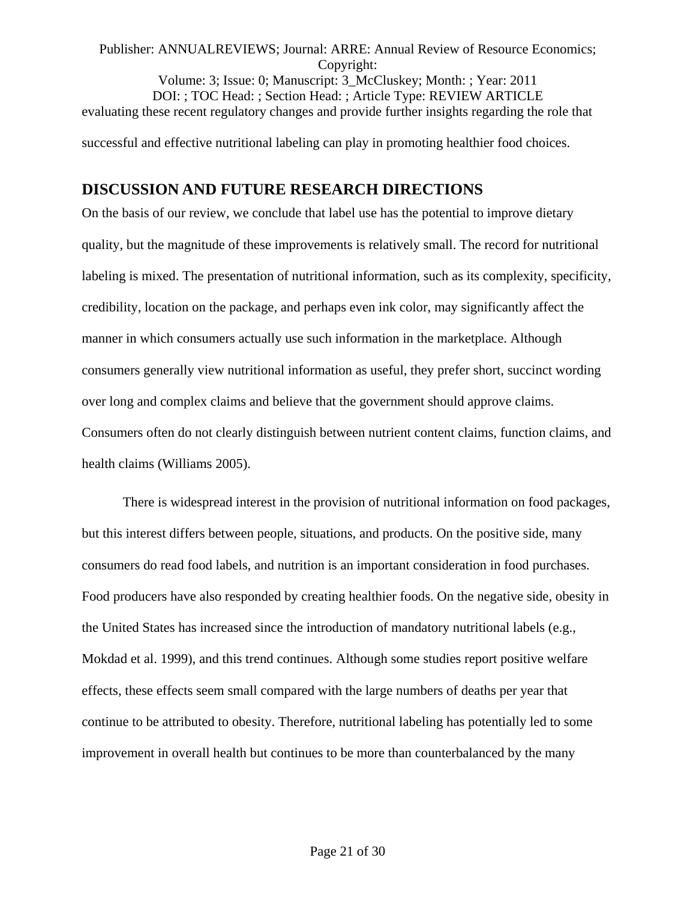Volume: 3; Issue: 0; Manuscript: 3\_McCluskey; Month: ; Year: 2011 DOI: ; TOC Head: ; Section Head: ; Article Type: REVIEW ARTICLE evaluating these recent regulatory changes and provide further insights regarding the role that successful and effective nutritional labeling can play in promoting healthier food choices.

# **DISCUSSION AND FUTURE RESEARCH DIRECTIONS**

On the basis of our review, we conclude that label use has the potential to improve dietary quality, but the magnitude of these improvements is relatively small. The record for nutritional labeling is mixed. The presentation of nutritional information, such as its complexity, specificity, credibility, location on the package, and perhaps even ink color, may significantly affect the manner in which consumers actually use such information in the marketplace. Although consumers generally view nutritional information as useful, they prefer short, succinct wording over long and complex claims and believe that the government should approve claims. Consumers often do not clearly distinguish between nutrient content claims, function claims, and health claims (Williams 2005).

There is widespread interest in the provision of nutritional information on food packages, but this interest differs between people, situations, and products. On the positive side, many consumers do read food labels, and nutrition is an important consideration in food purchases. Food producers have also responded by creating healthier foods. On the negative side, obesity in the United States has increased since the introduction of mandatory nutritional labels (e.g., Mokdad et al. 1999), and this trend continues. Although some studies report positive welfare effects, these effects seem small compared with the large numbers of deaths per year that continue to be attributed to obesity. Therefore, nutritional labeling has potentially led to some improvement in overall health but continues to be more than counterbalanced by the many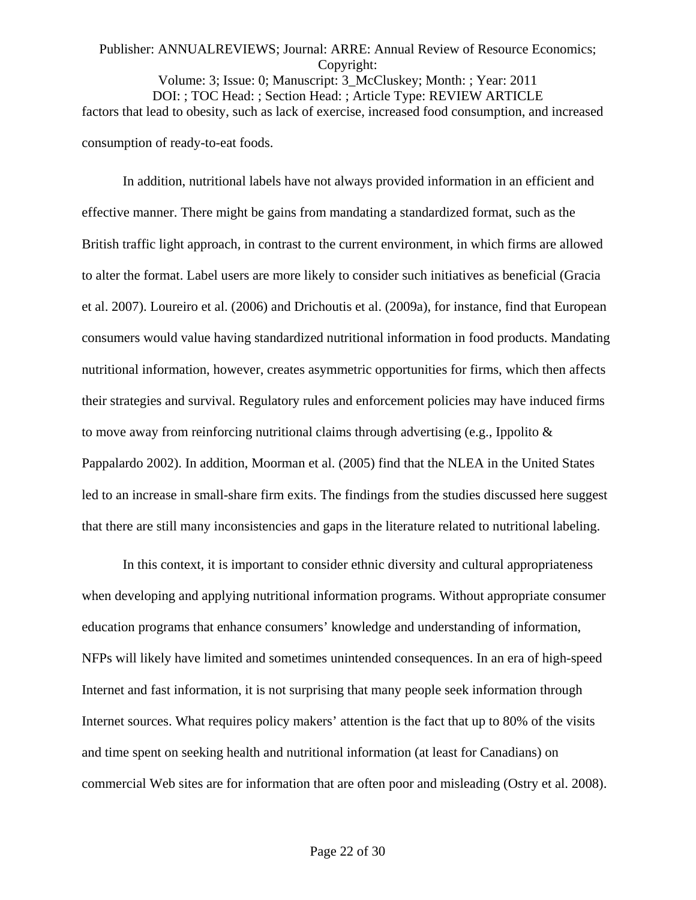# Publisher: ANNUALREVIEWS; Journal: ARRE: Annual Review of Resource Economics; Copyright: Volume: 3; Issue: 0; Manuscript: 3\_McCluskey; Month: ; Year: 2011

DOI: ; TOC Head: ; Section Head: ; Article Type: REVIEW ARTICLE factors that lead to obesity, such as lack of exercise, increased food consumption, and increased consumption of ready-to-eat foods.

In addition, nutritional labels have not always provided information in an efficient and effective manner. There might be gains from mandating a standardized format, such as the British traffic light approach, in contrast to the current environment, in which firms are allowed to alter the format. Label users are more likely to consider such initiatives as beneficial (Gracia et al. 2007). Loureiro et al. (2006) and Drichoutis et al. (2009a), for instance, find that European consumers would value having standardized nutritional information in food products. Mandating nutritional information, however, creates asymmetric opportunities for firms, which then affects their strategies and survival. Regulatory rules and enforcement policies may have induced firms to move away from reinforcing nutritional claims through advertising (e.g., Ippolito  $\&$ Pappalardo 2002). In addition, Moorman et al. (2005) find that the NLEA in the United States led to an increase in small-share firm exits. The findings from the studies discussed here suggest that there are still many inconsistencies and gaps in the literature related to nutritional labeling.

In this context, it is important to consider ethnic diversity and cultural appropriateness when developing and applying nutritional information programs. Without appropriate consumer education programs that enhance consumers' knowledge and understanding of information, NFPs will likely have limited and sometimes unintended consequences. In an era of high-speed Internet and fast information, it is not surprising that many people seek information through Internet sources. What requires policy makers' attention is the fact that up to 80% of the visits and time spent on seeking health and nutritional information (at least for Canadians) on commercial Web sites are for information that are often poor and misleading (Ostry et al. 2008).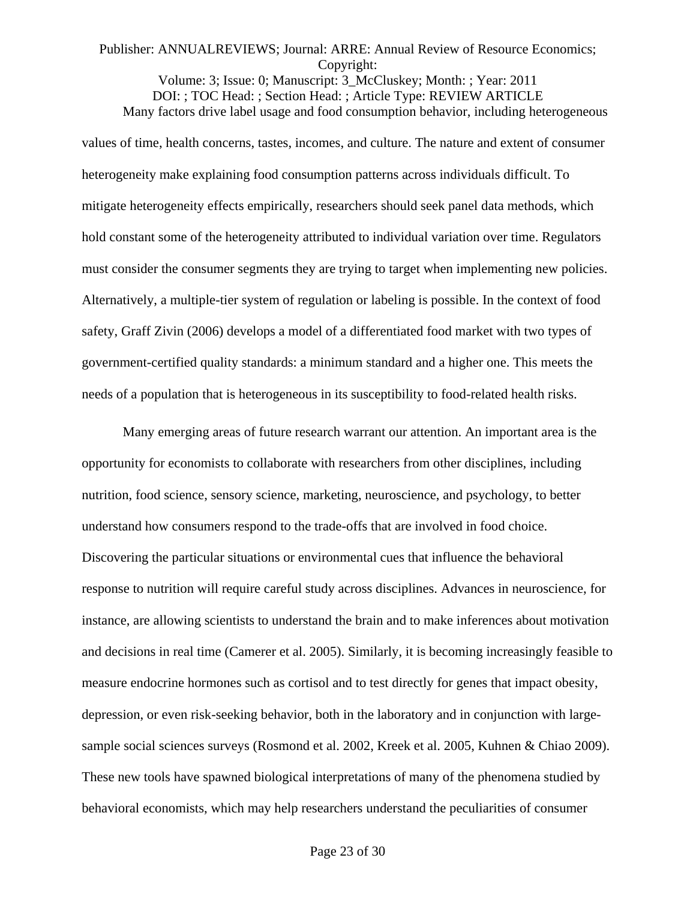Volume: 3; Issue: 0; Manuscript: 3\_McCluskey; Month: ; Year: 2011 DOI: ; TOC Head: ; Section Head: ; Article Type: REVIEW ARTICLE Many factors drive label usage and food consumption behavior, including heterogeneous

values of time, health concerns, tastes, incomes, and culture. The nature and extent of consumer heterogeneity make explaining food consumption patterns across individuals difficult. To mitigate heterogeneity effects empirically, researchers should seek panel data methods, which hold constant some of the heterogeneity attributed to individual variation over time. Regulators must consider the consumer segments they are trying to target when implementing new policies. Alternatively, a multiple-tier system of regulation or labeling is possible. In the context of food safety, Graff Zivin (2006) develops a model of a differentiated food market with two types of government-certified quality standards: a minimum standard and a higher one. This meets the needs of a population that is heterogeneous in its susceptibility to food-related health risks.

Many emerging areas of future research warrant our attention. An important area is the opportunity for economists to collaborate with researchers from other disciplines, including nutrition, food science, sensory science, marketing, neuroscience, and psychology, to better understand how consumers respond to the trade-offs that are involved in food choice. Discovering the particular situations or environmental cues that influence the behavioral response to nutrition will require careful study across disciplines. Advances in neuroscience, for instance, are allowing scientists to understand the brain and to make inferences about motivation and decisions in real time (Camerer et al. 2005). Similarly, it is becoming increasingly feasible to measure endocrine hormones such as cortisol and to test directly for genes that impact obesity, depression, or even risk-seeking behavior, both in the laboratory and in conjunction with largesample social sciences surveys (Rosmond et al. 2002, Kreek et al. 2005, Kuhnen & Chiao 2009). These new tools have spawned biological interpretations of many of the phenomena studied by behavioral economists, which may help researchers understand the peculiarities of consumer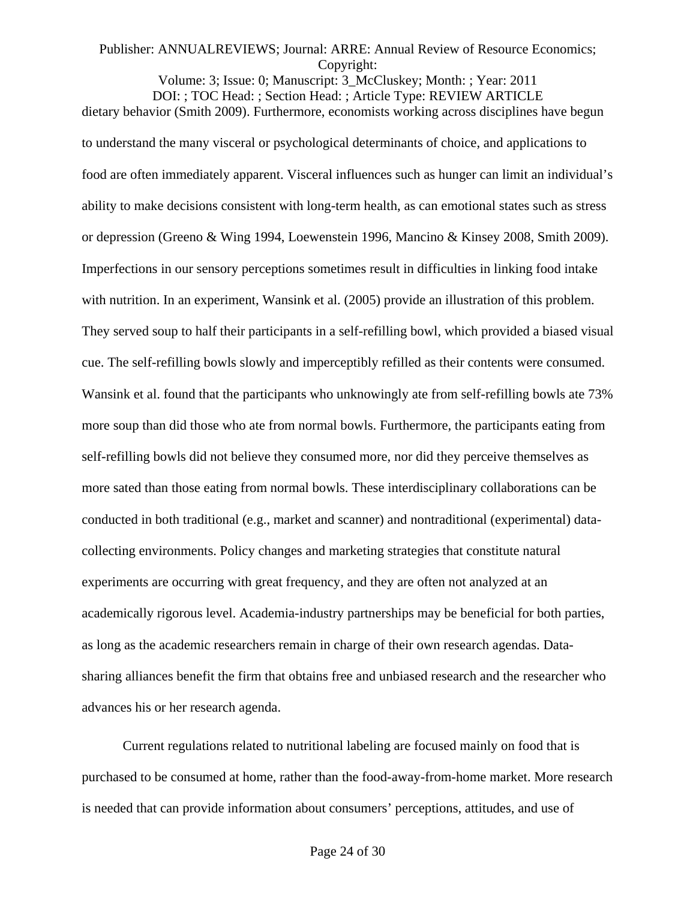Volume: 3; Issue: 0; Manuscript: 3\_McCluskey; Month: ; Year: 2011 DOI: ; TOC Head: ; Section Head: ; Article Type: REVIEW ARTICLE dietary behavior (Smith 2009). Furthermore, economists working across disciplines have begun to understand the many visceral or psychological determinants of choice, and applications to food are often immediately apparent. Visceral influences such as hunger can limit an individual's ability to make decisions consistent with long-term health, as can emotional states such as stress or depression (Greeno & Wing 1994, Loewenstein 1996, Mancino & Kinsey 2008, Smith 2009). Imperfections in our sensory perceptions sometimes result in difficulties in linking food intake with nutrition. In an experiment, Wansink et al. (2005) provide an illustration of this problem. They served soup to half their participants in a self-refilling bowl, which provided a biased visual cue. The self-refilling bowls slowly and imperceptibly refilled as their contents were consumed. Wansink et al. found that the participants who unknowingly ate from self-refilling bowls ate 73% more soup than did those who ate from normal bowls. Furthermore, the participants eating from self-refilling bowls did not believe they consumed more, nor did they perceive themselves as more sated than those eating from normal bowls. These interdisciplinary collaborations can be conducted in both traditional (e.g., market and scanner) and nontraditional (experimental) datacollecting environments. Policy changes and marketing strategies that constitute natural experiments are occurring with great frequency, and they are often not analyzed at an academically rigorous level. Academia-industry partnerships may be beneficial for both parties, as long as the academic researchers remain in charge of their own research agendas. Datasharing alliances benefit the firm that obtains free and unbiased research and the researcher who advances his or her research agenda.

Current regulations related to nutritional labeling are focused mainly on food that is purchased to be consumed at home, rather than the food-away-from-home market. More research is needed that can provide information about consumers' perceptions, attitudes, and use of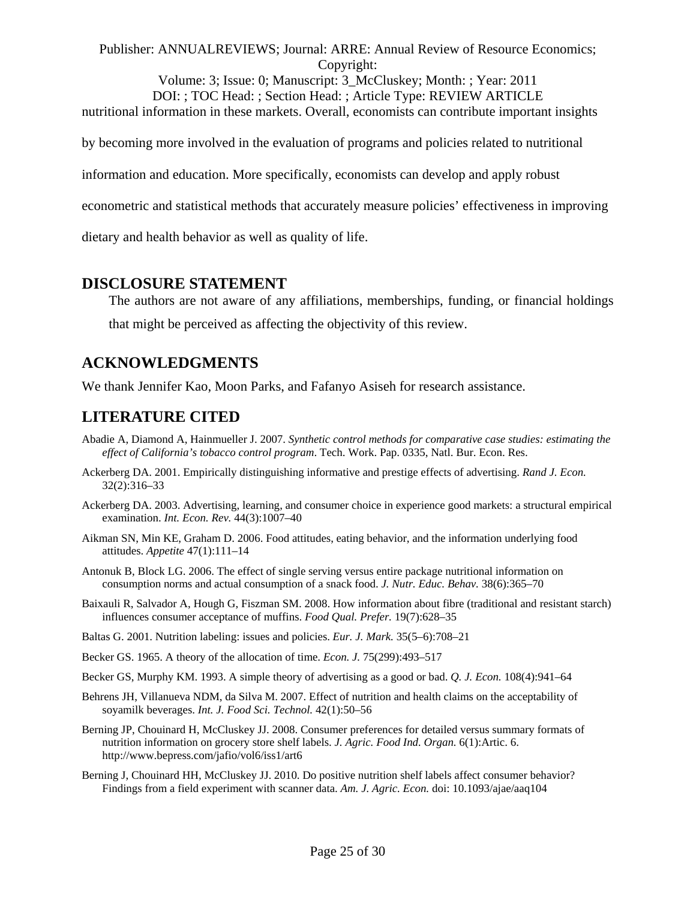Volume: 3; Issue: 0; Manuscript: 3\_McCluskey; Month: ; Year: 2011 DOI: ; TOC Head: ; Section Head: ; Article Type: REVIEW ARTICLE nutritional information in these markets. Overall, economists can contribute important insights

by becoming more involved in the evaluation of programs and policies related to nutritional

information and education. More specifically, economists can develop and apply robust

econometric and statistical methods that accurately measure policies' effectiveness in improving

dietary and health behavior as well as quality of life.

## **DISCLOSURE STATEMENT**

The authors are not aware of any affiliations, memberships, funding, or financial holdings that might be perceived as affecting the objectivity of this review.

## **ACKNOWLEDGMENTS**

We thank Jennifer Kao, Moon Parks, and Fafanyo Asiseh for research assistance.

# **LITERATURE CITED**

- Abadie A, Diamond A, Hainmueller J. 2007. *Synthetic control methods for comparative case studies: estimating the effect of California's tobacco control program*. Tech. Work. Pap. 0335, Natl. Bur. Econ. Res.
- Ackerberg DA. 2001. Empirically distinguishing informative and prestige effects of advertising. *Rand J. Econ.* 32(2):316–33
- Ackerberg DA. 2003. Advertising, learning, and consumer choice in experience good markets: a structural empirical examination. *Int. Econ. Rev.* 44(3):1007–40
- Aikman SN, Min KE, Graham D. 2006. Food attitudes, eating behavior, and the information underlying food attitudes. *Appetite* 47(1):111–14
- Antonuk B, Block LG. 2006. The effect of single serving versus entire package nutritional information on consumption norms and actual consumption of a snack food. *J. Nutr. Educ. Behav.* 38(6):365–70
- Baixauli R, Salvador A, Hough G, Fiszman SM. 2008. How information about fibre (traditional and resistant starch) influences consumer acceptance of muffins. *Food Qual. Prefer.* 19(7):628–35
- Baltas G. 2001. Nutrition labeling: issues and policies. *Eur. J. Mark.* 35(5–6):708–21
- Becker GS. 1965. A theory of the allocation of time. *Econ. J.* 75(299):493–517
- Becker GS, Murphy KM. 1993. A simple theory of advertising as a good or bad. *Q. J. Econ.* 108(4):941–64
- Behrens JH, Villanueva NDM, da Silva M. 2007. Effect of nutrition and health claims on the acceptability of soyamilk beverages. *Int. J. Food Sci. Technol.* 42(1):50–56
- Berning JP, Chouinard H, McCluskey JJ. 2008. Consumer preferences for detailed versus summary formats of nutrition information on grocery store shelf labels. *J. Agric. Food Ind. Organ.* 6(1):Artic. 6. http://www.bepress.com/jafio/vol6/iss1/art6
- Berning J, Chouinard HH, McCluskey JJ. 2010. Do positive nutrition shelf labels affect consumer behavior? Findings from a field experiment with scanner data. *Am. J. Agric. Econ.* doi: 10.1093/ajae/aaq104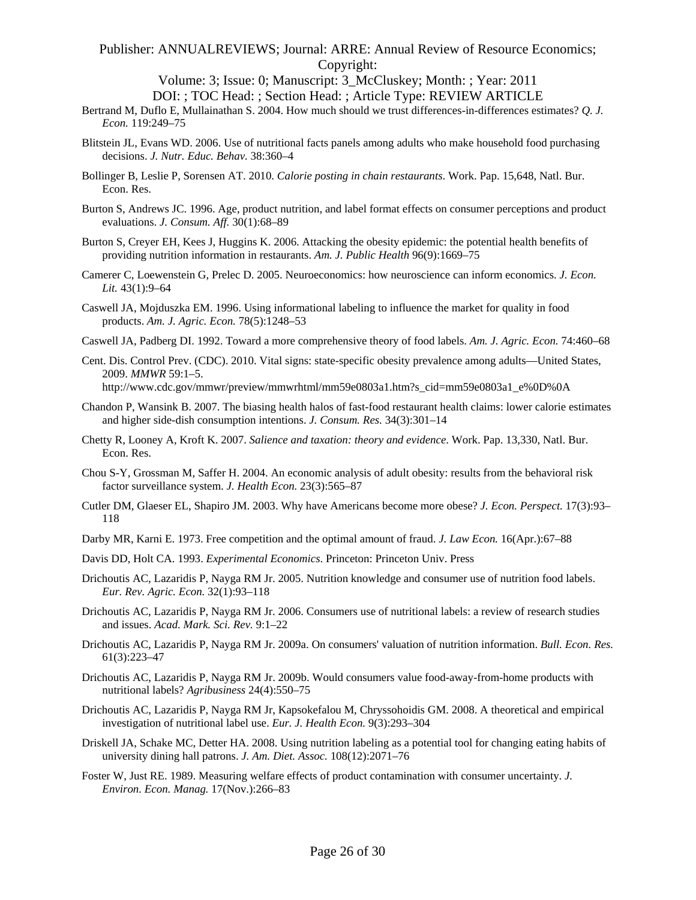Volume: 3; Issue: 0; Manuscript: 3\_McCluskey; Month: ; Year: 2011 DOI: ; TOC Head: ; Section Head: ; Article Type: REVIEW ARTICLE

- Bertrand M, Duflo E, Mullainathan S. 2004. How much should we trust differences-in-differences estimates? *Q. J. Econ.* 119:249–75
- Blitstein JL, Evans WD. 2006. Use of nutritional facts panels among adults who make household food purchasing decisions. *J. Nutr. Educ. Behav.* 38:360–4
- Bollinger B, Leslie P, Sorensen AT. 2010. *Calorie posting in chain restaurants*. Work. Pap. 15,648, Natl. Bur. Econ. Res.
- Burton S, Andrews JC. 1996. Age, product nutrition, and label format effects on consumer perceptions and product evaluations. *J. Consum. Aff.* 30(1):68–89
- Burton S, Creyer EH, Kees J, Huggins K. 2006. Attacking the obesity epidemic: the potential health benefits of providing nutrition information in restaurants. *Am. J. Public Health* 96(9):1669–75
- Camerer C, Loewenstein G, Prelec D. 2005. Neuroeconomics: how neuroscience can inform economics. *J. Econ. Lit.* 43(1):9–64
- Caswell JA, Mojduszka EM. 1996. Using informational labeling to influence the market for quality in food products. *Am. J. Agric. Econ.* 78(5):1248–53
- Caswell JA, Padberg DI. 1992. Toward a more comprehensive theory of food labels. *Am. J. Agric. Econ.* 74:460–68
- Cent. Dis. Control Prev. (CDC). 2010. Vital signs: state-specific obesity prevalence among adults—United States, 2009. *MMWR* 59:1–5. http://www.cdc.gov/mmwr/preview/mmwrhtml/mm59e0803a1.htm?s\_cid=mm59e0803a1\_e%0D%0A
- Chandon P, Wansink B. 2007. The biasing health halos of fast-food restaurant health claims: lower calorie estimates and higher side-dish consumption intentions. *J. Consum. Res.* 34(3):301–14
- Chetty R, Looney A, Kroft K. 2007. *Salience and taxation: theory and evidence*. Work. Pap. 13,330, Natl. Bur. Econ. Res.
- Chou S-Y, Grossman M, Saffer H. 2004. An economic analysis of adult obesity: results from the behavioral risk factor surveillance system. *J. Health Econ.* 23(3):565–87
- Cutler DM, Glaeser EL, Shapiro JM. 2003. Why have Americans become more obese? *J. Econ. Perspect.* 17(3):93– 118
- Darby MR, Karni E. 1973. Free competition and the optimal amount of fraud. *J. Law Econ.* 16(Apr.):67–88
- Davis DD, Holt CA. 1993. *Experimental Economics*. Princeton: Princeton Univ. Press
- Drichoutis AC, Lazaridis P, Nayga RM Jr. 2005. Nutrition knowledge and consumer use of nutrition food labels. *Eur. Rev. Agric. Econ.* 32(1):93–118
- Drichoutis AC, Lazaridis P, Nayga RM Jr. 2006. Consumers use of nutritional labels: a review of research studies and issues. *Acad. Mark. Sci. Rev.* 9:1–22
- Drichoutis AC, Lazaridis P, Nayga RM Jr. 2009a. On consumers' valuation of nutrition information. *Bull. Econ. Res.* 61(3):223–47
- Drichoutis AC, Lazaridis P, Nayga RM Jr. 2009b. Would consumers value food-away-from-home products with nutritional labels? *Agribusiness* 24(4):550–75
- Drichoutis AC, Lazaridis P, Nayga RM Jr, Kapsokefalou M, Chryssohoidis GM. 2008. A theoretical and empirical investigation of nutritional label use. *Eur. J. Health Econ.* 9(3):293–304
- Driskell JA, Schake MC, Detter HA. 2008. Using nutrition labeling as a potential tool for changing eating habits of university dining hall patrons. *J. Am. Diet. Assoc.* 108(12):2071–76
- Foster W, Just RE. 1989. Measuring welfare effects of product contamination with consumer uncertainty. *J. Environ. Econ. Manag.* 17(Nov.):266–83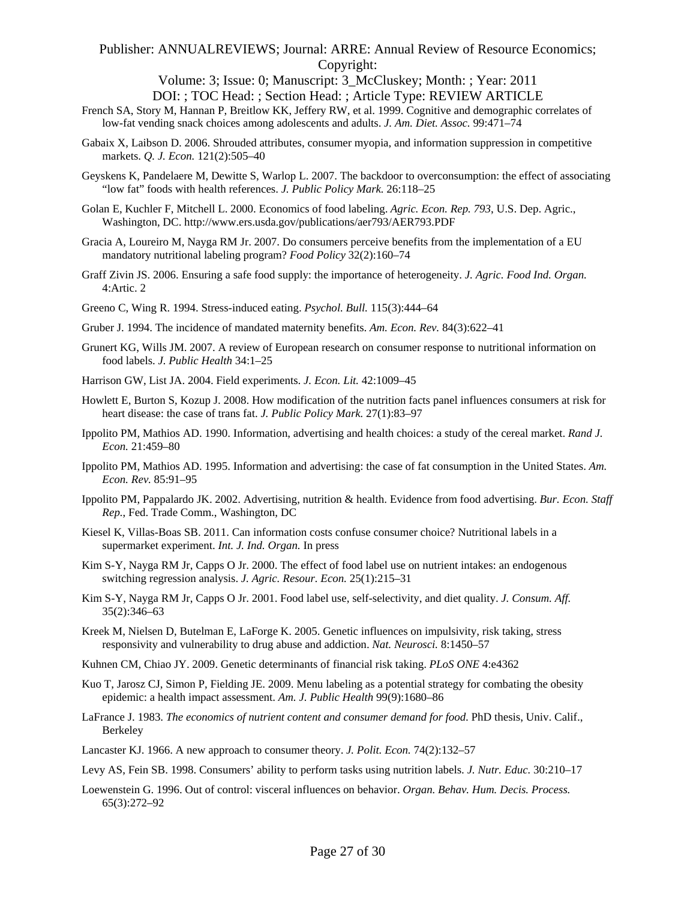Volume: 3; Issue: 0; Manuscript: 3\_McCluskey; Month: ; Year: 2011 DOI: ; TOC Head: ; Section Head: ; Article Type: REVIEW ARTICLE

- French SA, Story M, Hannan P, Breitlow KK, Jeffery RW, et al. 1999. Cognitive and demographic correlates of low-fat vending snack choices among adolescents and adults. *J. Am. Diet. Assoc.* 99:471–74
- Gabaix X, Laibson D. 2006. Shrouded attributes, consumer myopia, and information suppression in competitive markets. *Q. J. Econ.* 121(2):505–40
- Geyskens K, Pandelaere M, Dewitte S, Warlop L. 2007. The backdoor to overconsumption: the effect of associating "low fat" foods with health references. *J. Public Policy Mark.* 26:118–25
- Golan E, Kuchler F, Mitchell L. 2000. Economics of food labeling. *Agric. Econ. Rep. 793*, U.S. Dep. Agric., Washington, DC. http://www.ers.usda.gov/publications/aer793/AER793.PDF
- Gracia A, Loureiro M, Nayga RM Jr. 2007. Do consumers perceive benefits from the implementation of a EU mandatory nutritional labeling program? *Food Policy* 32(2):160–74
- Graff Zivin JS. 2006. Ensuring a safe food supply: the importance of heterogeneity. *J. Agric. Food Ind. Organ.* 4:Artic. 2
- Greeno C, Wing R. 1994. Stress-induced eating. *Psychol. Bull.* 115(3):444–64
- Gruber J. 1994. The incidence of mandated maternity benefits. *Am. Econ. Rev.* 84(3):622–41
- Grunert KG, Wills JM. 2007. A review of European research on consumer response to nutritional information on food labels. *J. Public Health* 34:1–25
- Harrison GW, List JA. 2004. Field experiments. *J. Econ. Lit.* 42:1009–45
- Howlett E, Burton S, Kozup J. 2008. How modification of the nutrition facts panel influences consumers at risk for heart disease: the case of trans fat. *J. Public Policy Mark.* 27(1):83–97
- Ippolito PM, Mathios AD. 1990. Information, advertising and health choices: a study of the cereal market. *Rand J. Econ.* 21:459–80
- Ippolito PM, Mathios AD. 1995. Information and advertising: the case of fat consumption in the United States. *Am. Econ. Rev.* 85:91–95
- Ippolito PM, Pappalardo JK. 2002. Advertising, nutrition & health. Evidence from food advertising. *Bur. Econ. Staff Rep.*, Fed. Trade Comm., Washington, DC
- Kiesel K, Villas-Boas SB. 2011. Can information costs confuse consumer choice? Nutritional labels in a supermarket experiment. *Int. J. Ind. Organ.* In press
- Kim S-Y, Nayga RM Jr, Capps O Jr. 2000. The effect of food label use on nutrient intakes: an endogenous switching regression analysis. *J. Agric. Resour. Econ.* 25(1):215–31
- Kim S-Y, Nayga RM Jr, Capps O Jr. 2001. Food label use, self-selectivity, and diet quality. *J. Consum. Aff.* 35(2):346–63
- Kreek M, Nielsen D, Butelman E, LaForge K. 2005. Genetic influences on impulsivity, risk taking, stress responsivity and vulnerability to drug abuse and addiction. *Nat. Neurosci.* 8:1450–57
- Kuhnen CM, Chiao JY. 2009. Genetic determinants of financial risk taking. *PLoS ONE* 4:e4362
- Kuo T, Jarosz CJ, Simon P, Fielding JE. 2009. Menu labeling as a potential strategy for combating the obesity epidemic: a health impact assessment. *Am. J. Public Health* 99(9):1680–86
- LaFrance J. 1983. *The economics of nutrient content and consumer demand for food*. PhD thesis, Univ. Calif., Berkeley
- Lancaster KJ. 1966. A new approach to consumer theory. *J. Polit. Econ.* 74(2):132–57
- Levy AS, Fein SB. 1998. Consumers' ability to perform tasks using nutrition labels. *J. Nutr. Educ.* 30:210–17
- Loewenstein G. 1996. Out of control: visceral influences on behavior. *Organ. Behav. Hum. Decis. Process.* 65(3):272–92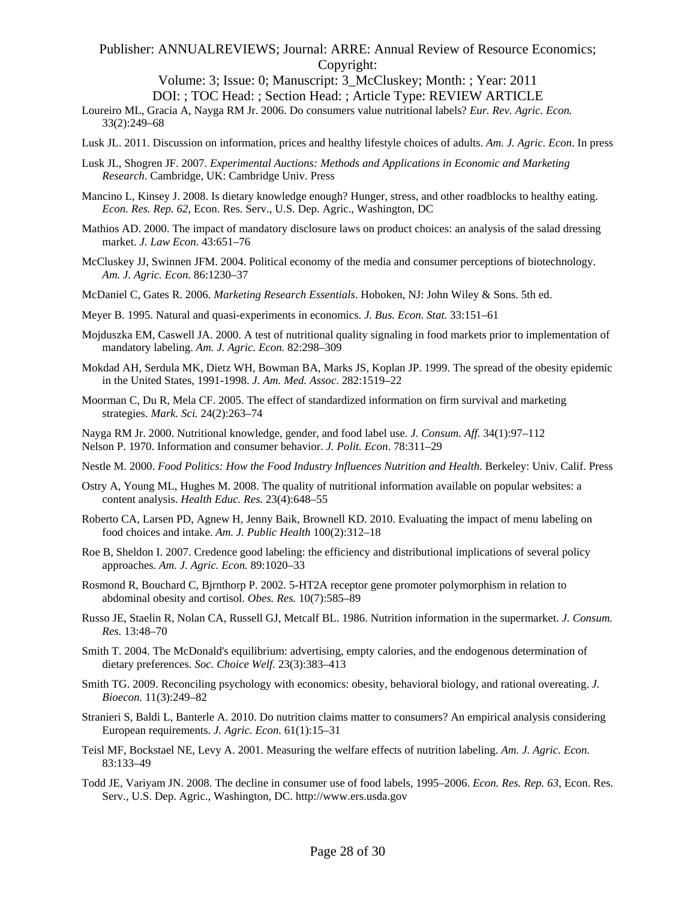Volume: 3; Issue: 0; Manuscript: 3\_McCluskey; Month: ; Year: 2011 DOI: ; TOC Head: ; Section Head: ; Article Type: REVIEW ARTICLE

- Loureiro ML, Gracia A, Nayga RM Jr. 2006. Do consumers value nutritional labels? *Eur. Rev. Agric. Econ.* 33(2):249–68
- Lusk JL. 2011. Discussion on information, prices and healthy lifestyle choices of adults. *Am. J. Agric. Econ*. In press
- Lusk JL, Shogren JF. 2007. *Experimental Auctions: Methods and Applications in Economic and Marketing Research*. Cambridge, UK: Cambridge Univ. Press
- Mancino L, Kinsey J. 2008. Is dietary knowledge enough? Hunger, stress, and other roadblocks to healthy eating. *Econ. Res. Rep. 62*, Econ. Res. Serv., U.S. Dep. Agric., Washington, DC
- Mathios AD. 2000. The impact of mandatory disclosure laws on product choices: an analysis of the salad dressing market. *J. Law Econ.* 43:651–76
- McCluskey JJ, Swinnen JFM. 2004. Political economy of the media and consumer perceptions of biotechnology. *Am. J. Agric. Econ.* 86:1230–37
- McDaniel C, Gates R. 2006. *Marketing Research Essentials*. Hoboken, NJ: John Wiley & Sons. 5th ed.
- Meyer B. 1995. Natural and quasi-experiments in economics. *J. Bus. Econ. Stat.* 33:151–61
- Mojduszka EM, Caswell JA. 2000. A test of nutritional quality signaling in food markets prior to implementation of mandatory labeling. *Am. J. Agric. Econ.* 82:298–309
- Mokdad AH, Serdula MK, Dietz WH, Bowman BA, Marks JS, Koplan JP. 1999. The spread of the obesity epidemic in the United States, 1991-1998. *J. Am. Med. Assoc*. 282:1519–22
- Moorman C, Du R, Mela CF. 2005. The effect of standardized information on firm survival and marketing strategies. *Mark. Sci.* 24(2):263–74
- Nayga RM Jr. 2000. Nutritional knowledge, gender, and food label use. *J. Consum. Aff.* 34(1):97–112 Nelson P. 1970. Information and consumer behavior. *J. Polit. Econ*. 78:311–29
- Nestle M. 2000. *Food Politics: How the Food Industry Influences Nutrition and Health*. Berkeley: Univ. Calif. Press
- Ostry A, Young ML, Hughes M. 2008. The quality of nutritional information available on popular websites: a content analysis. *Health Educ. Res.* 23(4):648–55
- Roberto CA, Larsen PD, Agnew H, Jenny Baik, Brownell KD. 2010. Evaluating the impact of menu labeling on food choices and intake. *Am. J. Public Health* 100(2):312–18
- Roe B, Sheldon I. 2007. Credence good labeling: the efficiency and distributional implications of several policy approaches. *Am. J. Agric. Econ.* 89:1020–33
- Rosmond R, Bouchard C, Bjrnthorp P. 2002. 5-HT2A receptor gene promoter polymorphism in relation to abdominal obesity and cortisol. *Obes. Res.* 10(7):585–89
- Russo JE, Staelin R, Nolan CA, Russell GJ, Metcalf BL. 1986. Nutrition information in the supermarket. *J. Consum. Res.* 13:48–70
- Smith T. 2004. The McDonald's equilibrium: advertising, empty calories, and the endogenous determination of dietary preferences. *Soc. Choice Welf.* 23(3):383–413
- Smith TG. 2009. Reconciling psychology with economics: obesity, behavioral biology, and rational overeating. *J. Bioecon.* 11(3):249–82
- Stranieri S, Baldi L, Banterle A. 2010. Do nutrition claims matter to consumers? An empirical analysis considering European requirements. *J. Agric. Econ.* 61(1):15–31
- Teisl MF, Bockstael NE, Levy A. 2001. Measuring the welfare effects of nutrition labeling. *Am. J. Agric. Econ.* 83:133–49
- Todd JE, Variyam JN. 2008. The decline in consumer use of food labels, 1995–2006. *Econ. Res. Rep. 63*, Econ. Res. Serv., U.S. Dep. Agric., Washington, DC. http://www.ers.usda.gov